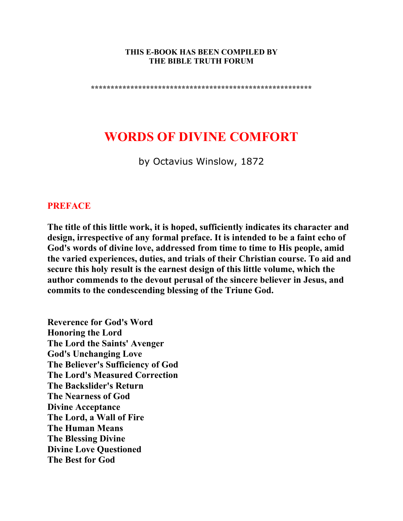#### **THIS E-BOOK HAS BEEN COMPILED BY THE BIBLE TRUTH FORUM**

**\*\*\*\*\*\*\*\*\*\*\*\*\*\*\*\*\*\*\*\*\*\*\*\*\*\*\*\*\*\*\*\*\*\*\*\*\*\*\*\*\*\*\*\*\*\*\*\*\*\*\*\*\*\*\*\*** 

# **WORDS OF DIVINE COMFORT**

by Octavius Winslow, 1872

#### **PREFACE**

**The title of this little work, it is hoped, sufficiently indicates its character and design, irrespective of any formal preface. It is intended to be a faint echo of God's words of divine love, addressed from time to time to His people, amid the varied experiences, duties, and trials of their Christian course. To aid and secure this holy result is the earnest design of this little volume, which the author commends to the devout perusal of the sincere believer in Jesus, and commits to the condescending blessing of the Triune God.** 

**Reverence for God's Word Honoring the Lord The Lord the Saints' Avenger God's Unchanging Love The Believer's Sufficiency of God The Lord's Measured Correction The Backslider's Return The Nearness of God Divine Acceptance The Lord, a Wall of Fire The Human Means The Blessing Divine Divine Love Questioned The Best for God**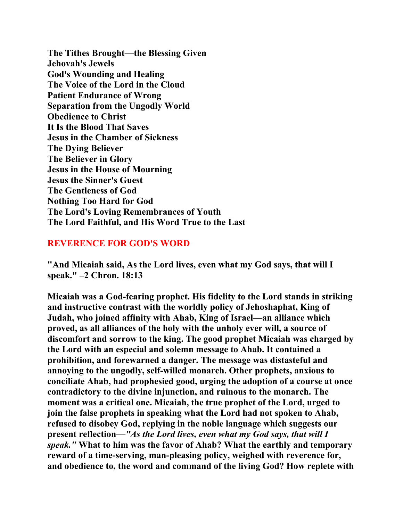**The Tithes Brought—the Blessing Given Jehovah's Jewels God's Wounding and Healing The Voice of the Lord in the Cloud Patient Endurance of Wrong Separation from the Ungodly World Obedience to Christ It Is the Blood That Saves Jesus in the Chamber of Sickness The Dying Believer The Believer in Glory Jesus in the House of Mourning Jesus the Sinner's Guest The Gentleness of God Nothing Too Hard for God The Lord's Loving Remembrances of Youth The Lord Faithful, and His Word True to the Last** 

#### **REVERENCE FOR GOD'S WORD**

**"And Micaiah said, As the Lord lives, even what my God says, that will I speak." –2 Chron. 18:13** 

**Micaiah was a God-fearing prophet. His fidelity to the Lord stands in striking and instructive contrast with the worldly policy of Jehoshaphat, King of Judah, who joined affinity with Ahab, King of Israel—an alliance which proved, as all alliances of the holy with the unholy ever will, a source of discomfort and sorrow to the king. The good prophet Micaiah was charged by the Lord with an especial and solemn message to Ahab. It contained a prohibition, and forewarned a danger. The message was distasteful and annoying to the ungodly, self-willed monarch. Other prophets, anxious to conciliate Ahab, had prophesied good, urging the adoption of a course at once contradictory to the divine injunction, and ruinous to the monarch. The moment was a critical one. Micaiah, the true prophet of the Lord, urged to join the false prophets in speaking what the Lord had not spoken to Ahab, refused to disobey God, replying in the noble language which suggests our present reflection—***"As the Lord lives, even what my God says, that will I speak."* **What to him was the favor of Ahab? What the earthly and temporary reward of a time-serving, man-pleasing policy, weighed with reverence for, and obedience to, the word and command of the living God? How replete with**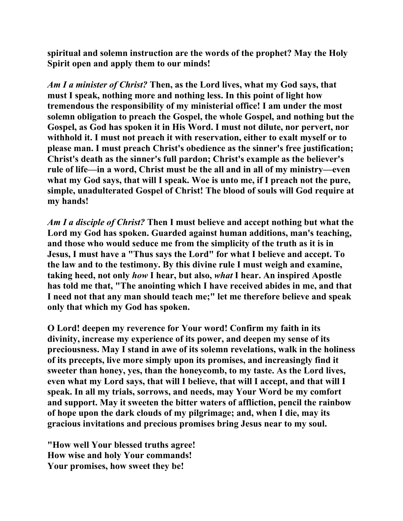**spiritual and solemn instruction are the words of the prophet? May the Holy Spirit open and apply them to our minds!** 

*Am I a minister of Christ?* **Then, as the Lord lives, what my God says, that must I speak, nothing more and nothing less. In this point of light how tremendous the responsibility of my ministerial office! I am under the most solemn obligation to preach the Gospel, the whole Gospel, and nothing but the Gospel, as God has spoken it in His Word. I must not dilute, nor pervert, nor withhold it. I must not preach it with reservation, either to exalt myself or to please man. I must preach Christ's obedience as the sinner's free justification; Christ's death as the sinner's full pardon; Christ's example as the believer's rule of life—in a word, Christ must be the all and in all of my ministry—even what my God says, that will I speak. Woe is unto me, if I preach not the pure, simple, unadulterated Gospel of Christ! The blood of souls will God require at my hands!** 

*Am I a disciple of Christ?* **Then I must believe and accept nothing but what the Lord my God has spoken. Guarded against human additions, man's teaching, and those who would seduce me from the simplicity of the truth as it is in Jesus, I must have a "Thus says the Lord" for what I believe and accept. To the law and to the testimony. By this divine rule I must weigh and examine, taking heed, not only** *how* **I hear, but also,** *what* **I hear. An inspired Apostle has told me that, "The anointing which I have received abides in me, and that I need not that any man should teach me;" let me therefore believe and speak only that which my God has spoken.** 

**O Lord! deepen my reverence for Your word! Confirm my faith in its divinity, increase my experience of its power, and deepen my sense of its preciousness. May I stand in awe of its solemn revelations, walk in the holiness of its precepts, live more simply upon its promises, and increasingly find it sweeter than honey, yes, than the honeycomb, to my taste. As the Lord lives, even what my Lord says, that will I believe, that will I accept, and that will I speak. In all my trials, sorrows, and needs, may Your Word be my comfort and support. May it sweeten the bitter waters of affliction, pencil the rainbow of hope upon the dark clouds of my pilgrimage; and, when I die, may its gracious invitations and precious promises bring Jesus near to my soul.** 

**"How well Your blessed truths agree! How wise and holy Your commands! Your promises, how sweet they be!**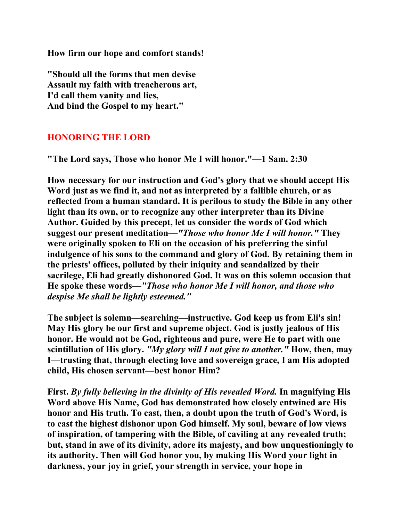**How firm our hope and comfort stands!** 

**"Should all the forms that men devise Assault my faith with treacherous art, I'd call them vanity and lies, And bind the Gospel to my heart."** 

## **HONORING THE LORD**

**"The Lord says, Those who honor Me I will honor."—1 Sam. 2:30** 

**How necessary for our instruction and God's glory that we should accept His Word just as we find it, and not as interpreted by a fallible church, or as reflected from a human standard. It is perilous to study the Bible in any other light than its own, or to recognize any other interpreter than its Divine Author. Guided by this precept, let us consider the words of God which suggest our present meditation***—"Those who honor Me I will honor."* **They were originally spoken to Eli on the occasion of his preferring the sinful indulgence of his sons to the command and glory of God. By retaining them in the priests' offices, polluted by their iniquity and scandalized by their sacrilege, Eli had greatly dishonored God. It was on this solemn occasion that He spoke these words—***"Those who honor Me I will honor, and those who despise Me shall be lightly esteemed."* 

**The subject is solemn—searching—instructive. God keep us from Eli's sin! May His glory be our first and supreme object. God is justly jealous of His honor. He would not be God, righteous and pure, were He to part with one scintillation of His glory.** *"My glory will I not give to another."* **How, then, may I—trusting that, through electing love and sovereign grace, I am His adopted child, His chosen servant—best honor Him?** 

**First.** *By fully believing in the divinity of His revealed Word.* **In magnifying His Word above His Name, God has demonstrated how closely entwined are His honor and His truth. To cast, then, a doubt upon the truth of God's Word, is to cast the highest dishonor upon God himself. My soul, beware of low views of inspiration, of tampering with the Bible, of caviling at any revealed truth; but, stand in awe of its divinity, adore its majesty, and bow unquestioningly to its authority. Then will God honor you, by making His Word your light in darkness, your joy in grief, your strength in service, your hope in**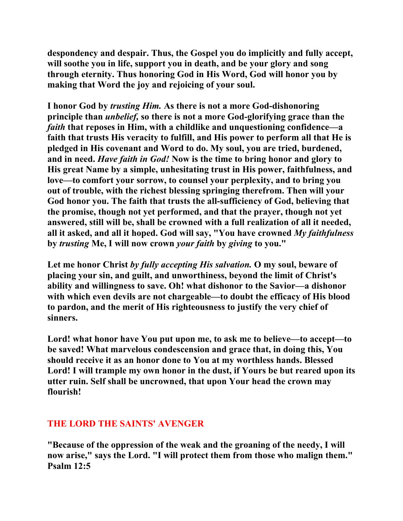**despondency and despair. Thus, the Gospel you do implicitly and fully accept, will soothe you in life, support you in death, and be your glory and song through eternity. Thus honoring God in His Word, God will honor you by making that Word the joy and rejoicing of your soul.** 

**I honor God by** *trusting Him.* **As there is not a more God-dishonoring principle than** *unbelief,* **so there is not a more God-glorifying grace than the**  *faith* **that reposes in Him, with a childlike and unquestioning confidence—a faith that trusts His veracity to fulfill, and His power to perform all that He is pledged in His covenant and Word to do. My soul, you are tried, burdened, and in need.** *Have faith in God!* **Now is the time to bring honor and glory to His great Name by a simple, unhesitating trust in His power, faithfulness, and love—to comfort your sorrow, to counsel your perplexity, and to bring you out of trouble, with the richest blessing springing therefrom. Then will your God honor you. The faith that trusts the all-sufficiency of God, believing that the promise, though not yet performed, and that the prayer, though not yet answered, still will be, shall be crowned with a full realization of all it needed, all it asked, and all it hoped. God will say, "You have crowned** *My faithfulness*  **by** *trusting* **Me, I will now crown** *your faith* **by** *giving* **to you."** 

**Let me honor Christ** *by fully accepting His salvation.* **O my soul, beware of placing your sin, and guilt, and unworthiness, beyond the limit of Christ's ability and willingness to save. Oh! what dishonor to the Savior—a dishonor with which even devils are not chargeable—to doubt the efficacy of His blood to pardon, and the merit of His righteousness to justify the very chief of sinners.** 

**Lord! what honor have You put upon me, to ask me to believe—to accept—to be saved! What marvelous condescension and grace that, in doing this, You should receive it as an honor done to You at my worthless hands. Blessed Lord! I will trample my own honor in the dust, if Yours be but reared upon its utter ruin. Self shall be uncrowned, that upon Your head the crown may flourish!** 

## **THE LORD THE SAINTS' AVENGER**

**"Because of the oppression of the weak and the groaning of the needy, I will now arise," says the Lord. "I will protect them from those who malign them." Psalm 12:5**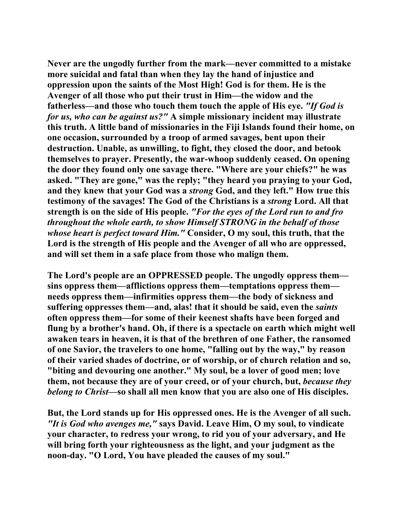**Never are the ungodly further from the mark—never committed to a mistake more suicidal and fatal than when they lay the hand of injustice and oppression upon the saints of the Most High! God is for them. He is the Avenger of all those who put their trust in Him—the widow and the fatherless—and those who touch them touch the apple of His eye.** *"If God is for us, who can be against us?"* **A simple missionary incident may illustrate this truth. A little band of missionaries in the Fiji Islands found their home, on one occasion, surrounded by a troop of armed savages, bent upon their destruction. Unable, as unwilling, to fight, they closed the door, and betook themselves to prayer. Presently, the war-whoop suddenly ceased. On opening the door they found only one savage there. "Where are your chiefs?" he was asked. "They are gone," was the reply; "they heard you praying to your God, and they knew that your God was a** *strong* **God, and they left." How true this testimony of the savages! The God of the Christians is a** *strong* **Lord. All that strength is on the side of His people.** *"For the eyes of the Lord run to and fro throughout the whole earth, to show Himself STRONG in the behalf of those whose heart is perfect toward Him."* **Consider, O my soul, this truth, that the Lord is the strength of His people and the Avenger of all who are oppressed, and will set them in a safe place from those who malign them.** 

**The Lord's people are an OPPRESSED people. The ungodly oppress them sins oppress them—afflictions oppress them—temptations oppress them needs oppress them—infirmities oppress them—the body of sickness and suffering oppresses them—and, alas! that it should be said, even the** *saints*  **often oppress them—for some of their keenest shafts have been forged and flung by a brother's hand. Oh, if there is a spectacle on earth which might well awaken tears in heaven, it is that of the brethren of one Father, the ransomed of one Savior, the travelers to one home, "falling out by the way," by reason of their varied shades of doctrine, or of worship, or of church relation and so, "biting and devouring one another." My soul, be a lover of good men; love them, not because they are of your creed, or of your church, but,** *because they belong to Christ***—so shall all men know that you are also one of His disciples.** 

**But, the Lord stands up for His oppressed ones. He is the Avenger of all such.**  *"It is God who avenges me,"* **says David. Leave Him, O my soul, to vindicate your character, to redress your wrong, to rid you of your adversary, and He will bring forth your righteousness as the light, and your judgment as the noon-day. "O Lord, You have pleaded the causes of my soul."**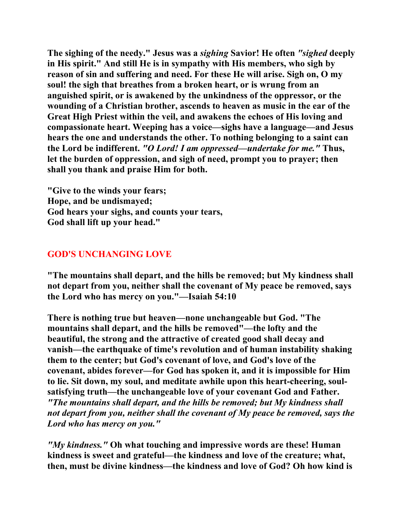**The sighing of the needy." Jesus was a** *sighing* **Savior! He often** *"sighed* **deeply in His spirit." And still He is in sympathy with His members, who sigh by reason of sin and suffering and need. For these He will arise. Sigh on, O my soul! the sigh that breathes from a broken heart, or is wrung from an anguished spirit, or is awakened by the unkindness of the oppressor, or the wounding of a Christian brother, ascends to heaven as music in the ear of the Great High Priest within the veil, and awakens the echoes of His loving and compassionate heart. Weeping has a voice—sighs have a language—and Jesus hears the one and understands the other. To nothing belonging to a saint can the Lord be indifferent.** *"O Lord! I am oppressed—undertake for me."* **Thus, let the burden of oppression, and sigh of need, prompt you to prayer; then shall you thank and praise Him for both.** 

**"Give to the winds your fears; Hope, and be undismayed; God hears your sighs, and counts your tears, God shall lift up your head."** 

# **GOD'S UNCHANGING LOVE**

**"The mountains shall depart, and the hills be removed; but My kindness shall not depart from you, neither shall the covenant of My peace be removed, says the Lord who has mercy on you."—Isaiah 54:10** 

**There is nothing true but heaven—none unchangeable but God. "The mountains shall depart, and the hills be removed"—the lofty and the beautiful, the strong and the attractive of created good shall decay and vanish—the earthquake of time's revolution and of human instability shaking them to the center; but God's covenant of love, and God's love of the covenant, abides forever—for God has spoken it, and it is impossible for Him to lie. Sit down, my soul, and meditate awhile upon this heart-cheering, soulsatisfying truth—the unchangeable love of your covenant God and Father.**  *"The mountains shall depart, and the hills be removed; but My kindness shall not depart from you, neither shall the covenant of My peace be removed, says the Lord who has mercy on you."*

*"My kindness."* **Oh what touching and impressive words are these! Human kindness is sweet and grateful—the kindness and love of the creature; what, then, must be divine kindness—the kindness and love of God? Oh how kind is**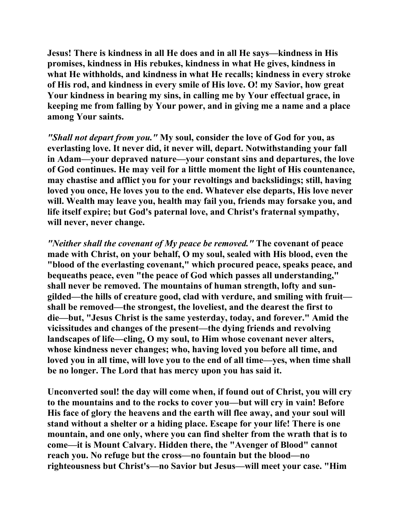**Jesus! There is kindness in all He does and in all He says—kindness in His promises, kindness in His rebukes, kindness in what He gives, kindness in what He withholds, and kindness in what He recalls; kindness in every stroke of His rod, and kindness in every smile of His love. O! my Savior, how great Your kindness in bearing my sins, in calling me by Your effectual grace, in keeping me from falling by Your power, and in giving me a name and a place among Your saints.** 

*"Shall not depart from you."* **My soul, consider the love of God for you, as everlasting love. It never did, it never will, depart. Notwithstanding your fall in Adam—your depraved nature—your constant sins and departures, the love of God continues. He may veil for a little moment the light of His countenance, may chastise and afflict you for your revoltings and backslidings; still, having loved you once, He loves you to the end. Whatever else departs, His love never will. Wealth may leave you, health may fail you, friends may forsake you, and life itself expire; but God's paternal love, and Christ's fraternal sympathy, will never, never change.** 

*"Neither shall the covenant of My peace be removed."* **The covenant of peace made with Christ, on your behalf, O my soul, sealed with His blood, even the "blood of the everlasting covenant," which procured peace, speaks peace, and bequeaths peace, even "the peace of God which passes all understanding," shall never be removed. The mountains of human strength, lofty and sungilded—the hills of creature good, clad with verdure, and smiling with fruit shall be removed—the strongest, the loveliest, and the dearest the first to die—but, "Jesus Christ is the same yesterday, today, and forever." Amid the vicissitudes and changes of the present—the dying friends and revolving landscapes of life—cling, O my soul, to Him whose covenant never alters, whose kindness never changes; who, having loved you before all time, and loved you in all time, will love you to the end of all time—yes, when time shall be no longer. The Lord that has mercy upon you has said it.** 

**Unconverted soul! the day will come when, if found out of Christ, you will cry to the mountains and to the rocks to cover you—but will cry in vain! Before His face of glory the heavens and the earth will flee away, and your soul will stand without a shelter or a hiding place. Escape for your life! There is one mountain, and one only, where you can find shelter from the wrath that is to come—it is Mount Calvary. Hidden there, the "Avenger of Blood" cannot reach you. No refuge but the cross—no fountain but the blood—no righteousness but Christ's—no Savior but Jesus—will meet your case. "Him**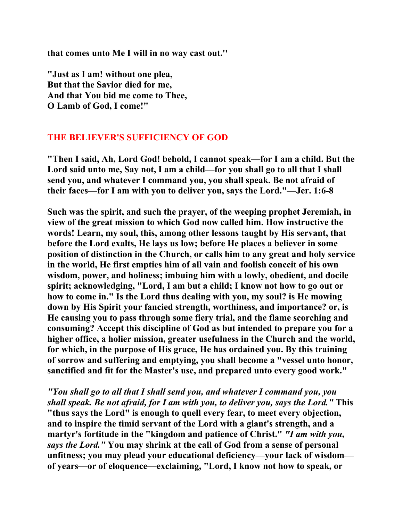**that comes unto Me I will in no way cast out.''** 

**"Just as I am! without one plea, But that the Savior died for me, And that You bid me come to Thee, O Lamb of God, I come!"** 

## **THE BELIEVER'S SUFFICIENCY OF GOD**

**"Then I said, Ah, Lord God! behold, I cannot speak—for I am a child. But the Lord said unto me, Say not, I am a child—for you shall go to all that I shall send you, and whatever I command you, you shall speak. Be not afraid of their faces—for I am with you to deliver you, says the Lord."—Jer. 1:6-8** 

**Such was the spirit, and such the prayer, of the weeping prophet Jeremiah, in view of the great mission to which God now called him. How instructive the words! Learn, my soul, this, among other lessons taught by His servant, that before the Lord exalts, He lays us low; before He places a believer in some position of distinction in the Church, or calls him to any great and holy service in the world, He first empties him of all vain and foolish conceit of his own wisdom, power, and holiness; imbuing him with a lowly, obedient, and docile spirit; acknowledging, "Lord, I am but a child; I know not how to go out or how to come in." Is the Lord thus dealing with you, my soul? is He mowing down by His Spirit your fancied strength, worthiness, and importance? or, is He causing you to pass through some fiery trial, and the flame scorching and consuming? Accept this discipline of God as but intended to prepare you for a higher office, a holier mission, greater usefulness in the Church and the world, for which, in the purpose of His grace, He has ordained you. By this training of sorrow and suffering and emptying, you shall become a "vessel unto honor, sanctified and fit for the Master's use, and prepared unto every good work."** 

*"You shall go to all that I shall send you, and whatever I command you, you shall speak. Be not afraid, for I am with you, to deliver you, says the Lord."* **This "thus says the Lord" is enough to quell every fear, to meet every objection, and to inspire the timid servant of the Lord with a giant's strength, and a martyr's fortitude in the "kingdom and patience of Christ."** *"I am with you, says the Lord."* **You may shrink at the call of God from a sense of personal unfitness; you may plead your educational deficiency—your lack of wisdom of years—or of eloquence—exclaiming, "Lord, I know not how to speak, or**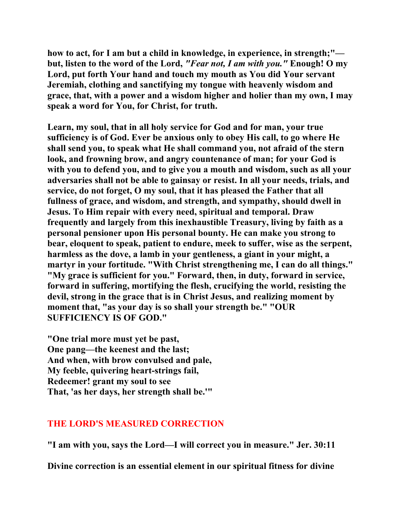**how to act, for I am but a child in knowledge, in experience, in strength;" but, listen to the word of the Lord,** *"Fear not, I am with you."* **Enough! O my Lord, put forth Your hand and touch my mouth as You did Your servant Jeremiah, clothing and sanctifying my tongue with heavenly wisdom and grace, that, with a power and a wisdom higher and holier than my own, I may speak a word for You, for Christ, for truth.** 

**Learn, my soul, that in all holy service for God and for man, your true sufficiency is of God. Ever be anxious only to obey His call, to go where He shall send you, to speak what He shall command you, not afraid of the stern look, and frowning brow, and angry countenance of man; for your God is with you to defend you, and to give you a mouth and wisdom, such as all your adversaries shall not be able to gainsay or resist. In all your needs, trials, and service, do not forget, O my soul, that it has pleased the Father that all fullness of grace, and wisdom, and strength, and sympathy, should dwell in Jesus. To Him repair with every need, spiritual and temporal. Draw frequently and largely from this inexhaustible Treasury, living by faith as a personal pensioner upon His personal bounty. He can make you strong to bear, eloquent to speak, patient to endure, meek to suffer, wise as the serpent, harmless as the dove, a lamb in your gentleness, a giant in your might, a martyr in your fortitude. "With Christ strengthening me, I can do all things." "My grace is sufficient for you." Forward, then, in duty, forward in service, forward in suffering, mortifying the flesh, crucifying the world, resisting the devil, strong in the grace that is in Christ Jesus, and realizing moment by moment that, "as your day is so shall your strength be." "OUR SUFFICIENCY IS OF GOD."** 

**"One trial more must yet be past, One pang—the keenest and the last; And when, with brow convulsed and pale, My feeble, quivering heart-strings fail, Redeemer! grant my soul to see That, 'as her days, her strength shall be.'"** 

#### **THE LORD'S MEASURED CORRECTION**

**"I am with you, says the Lord—I will correct you in measure." Jer. 30:11** 

**Divine correction is an essential element in our spiritual fitness for divine**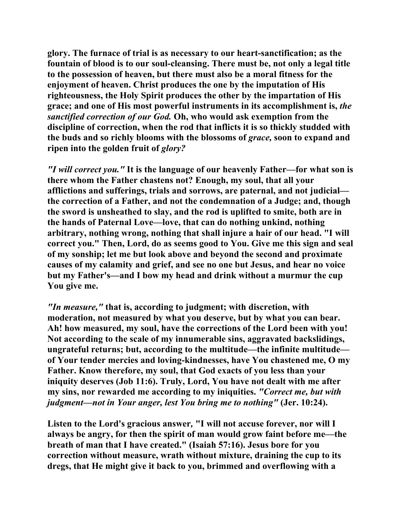**glory. The furnace of trial is as necessary to our heart-sanctification; as the fountain of blood is to our soul-cleansing. There must be, not only a legal title to the possession of heaven, but there must also be a moral fitness for the enjoyment of heaven. Christ produces the one by the imputation of His righteousness, the Holy Spirit produces the other by the impartation of His grace; and one of His most powerful instruments in its accomplishment is,** *the sanctified correction of our God.* **Oh, who would ask exemption from the discipline of correction, when the rod that inflicts it is so thickly studded with the buds and so richly blooms with the blossoms of** *grace,* **soon to expand and ripen into the golden fruit of** *glory?*

*"I will correct you."* **It is the language of our heavenly Father—for what son is there whom the Father chastens not? Enough, my soul, that all your afflictions and sufferings, trials and sorrows, are paternal, and not judicial the correction of a Father, and not the condemnation of a Judge; and, though the sword is unsheathed to slay, and the rod is uplifted to smite, both are in the hands of Paternal Love—love, that can do nothing unkind, nothing arbitrary, nothing wrong, nothing that shall injure a hair of our head. "I will correct you." Then, Lord, do as seems good to You. Give me this sign and seal of my sonship; let me but look above and beyond the second and proximate causes of my calamity and grief, and see no one but Jesus, and hear no voice but my Father's—and I bow my head and drink without a murmur the cup You give me.** 

*"In measure,"* **that is, according to judgment; with discretion, with moderation, not measured by what you deserve, but by what you can bear. Ah! how measured, my soul, have the corrections of the Lord been with you! Not according to the scale of my innumerable sins, aggravated backslidings, ungrateful returns; but, according to the multitude—the infinite multitude of Your tender mercies and loving-kindnesses, have You chastened me, O my Father. Know therefore, my soul, that God exacts of you less than your iniquity deserves (Job 11:6). Truly, Lord, You have not dealt with me after my sins, nor rewarded me according to my iniquities.** *"Correct me, but with judgment—not in Your anger, lest You bring me to nothing"* **(Jer. 10:24).** 

**Listen to the Lord's gracious answer***,* **"I will not accuse forever, nor will I always be angry, for then the spirit of man would grow faint before me—the breath of man that I have created." (Isaiah 57:16). Jesus bore for you correction without measure, wrath without mixture, draining the cup to its dregs, that He might give it back to you, brimmed and overflowing with a**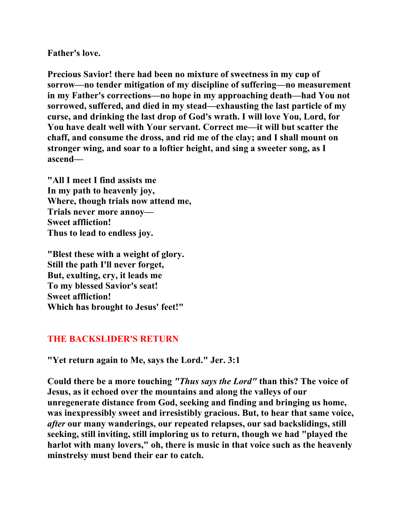**Father's love.** 

**Precious Savior! there had been no mixture of sweetness in my cup of sorrow—no tender mitigation of my discipline of suffering—no measurement in my Father's corrections—no hope in my approaching death—had You not sorrowed, suffered, and died in my stead—exhausting the last particle of my curse, and drinking the last drop of God's wrath. I will love You, Lord, for You have dealt well with Your servant. Correct me—it will but scatter the chaff, and consume the dross, and rid me of the clay; and I shall mount on stronger wing, and soar to a loftier height, and sing a sweeter song, as I ascend—** 

**"All I meet I find assists me In my path to heavenly joy, Where, though trials now attend me, Trials never more annoy— Sweet affliction! Thus to lead to endless joy.** 

**"Blest these with a weight of glory. Still the path I'll never forget, But, exulting, cry, it leads me To my blessed Savior's seat! Sweet affliction! Which has brought to Jesus' feet!"** 

## **THE BACKSLIDER'S RETURN**

**"Yet return again to Me, says the Lord." Jer. 3:1** 

**Could there be a more touching** *"Thus says the Lord"* **than this? The voice of Jesus, as it echoed over the mountains and along the valleys of our unregenerate distance from God, seeking and finding and bringing us home, was inexpressibly sweet and irresistibly gracious. But, to hear that same voice,**  *after* **our many wanderings, our repeated relapses, our sad backslidings, still seeking, still inviting, still imploring us to return, though we had "played the harlot with many lovers," oh, there is music in that voice such as the heavenly minstrelsy must bend their ear to catch.**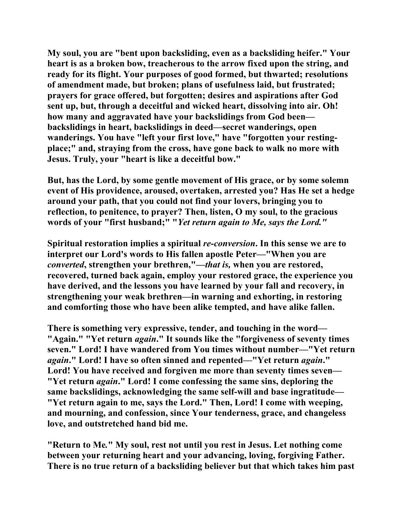**My soul, you are "bent upon backsliding, even as a backsliding heifer." Your heart is as a broken bow, treacherous to the arrow fixed upon the string, and ready for its flight. Your purposes of good formed, but thwarted; resolutions of amendment made, but broken; plans of usefulness laid, but frustrated; prayers for grace offered, but forgotten; desires and aspirations after God sent up, but, through a deceitful and wicked heart, dissolving into air. Oh! how many and aggravated have your backslidings from God been backslidings in heart, backslidings in deed—secret wanderings, open wanderings. You have "left your first love," have "forgotten your restingplace;" and, straying from the cross, have gone back to walk no more with Jesus. Truly, your "heart is like a deceitful bow."** 

**But, has the Lord, by some gentle movement of His grace, or by some solemn event of His providence, aroused, overtaken, arrested you? Has He set a hedge around your path, that you could not find your lovers, bringing you to reflection, to penitence, to prayer? Then, listen, O my soul, to the gracious words of your "first husband;" "***Yet return again to Me, says the Lord."*

**Spiritual restoration implies a spiritual** *re-conversion***. In this sense we are to interpret our Lord's words to His fallen apostle Peter—"When you are**  *converted***, strengthen your brethren,"—***that is,* **when you are restored, recovered, turned back again, employ your restored grace, the experience you have derived, and the lessons you have learned by your fall and recovery, in strengthening your weak brethren—in warning and exhorting, in restoring and comforting those who have been alike tempted, and have alike fallen.** 

**There is something very expressive, tender, and touching in the word— "Again." "Yet return** *again***." It sounds like the "forgiveness of seventy times seven." Lord! I have wandered from You times without number—"Yet return**  *again***." Lord! I have so often sinned and repented—"Yet return** *again***."**  Lord! You have received and forgiven me more than seventy times seven— **"Yet return** *again***." Lord! I come confessing the same sins, deploring the same backslidings, acknowledging the same self-will and base ingratitude— "Yet return again to me, says the Lord." Then, Lord! I come with weeping, and mourning, and confession, since Your tenderness, grace, and changeless love, and outstretched hand bid me.** 

**"Return to Me***.***" My soul, rest not until you rest in Jesus. Let nothing come between your returning heart and your advancing, loving, forgiving Father. There is no true return of a backsliding believer but that which takes him past**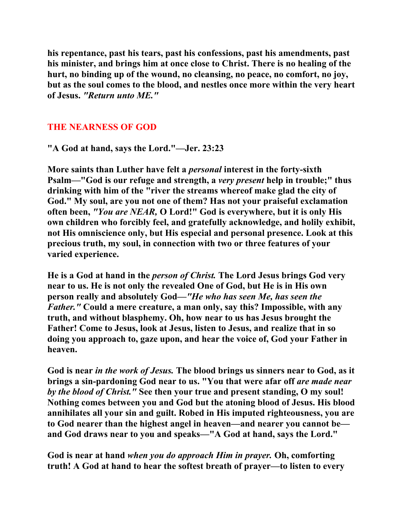**his repentance, past his tears, past his confessions, past his amendments, past his minister, and brings him at once close to Christ. There is no healing of the hurt, no binding up of the wound, no cleansing, no peace, no comfort, no joy, but as the soul comes to the blood, and nestles once more within the very heart of Jesus.** *"Return unto ME."*

# **THE NEARNESS OF GOD**

**"A God at hand, says the Lord."—Jer. 23:23** 

**More saints than Luther have felt a** *personal* **interest in the forty-sixth Psalm—"God is our refuge and strength, a** *very present* **help in trouble;" thus drinking with him of the "river the streams whereof make glad the city of God." My soul, are you not one of them? Has not your praiseful exclamation often been,** *"You are NEAR,* **O Lord!" God is everywhere, but it is only His own children who forcibly feel, and gratefully acknowledge, and holily exhibit, not His omniscience only, but His especial and personal presence. Look at this precious truth, my soul, in connection with two or three features of your varied experience.** 

**He is a God at hand in the** *person of Christ.* **The Lord Jesus brings God very near to us. He is not only the revealed One of God, but He is in His own person really and absolutely God—***"He who has seen Me, has seen the Father."* **Could a mere creature, a man only, say this? Impossible, with any truth, and without blasphemy. Oh, how near to us has Jesus brought the Father! Come to Jesus, look at Jesus, listen to Jesus, and realize that in so doing you approach to, gaze upon, and hear the voice of, God your Father in heaven.** 

**God is near** *in the work of Jesus.* **The blood brings us sinners near to God, as it brings a sin-pardoning God near to us. "You that were afar off** *are made near by the blood of Christ."* **See then your true and present standing, O my soul! Nothing comes between you and God but the atoning blood of Jesus. His blood annihilates all your sin and guilt. Robed in His imputed righteousness, you are to God nearer than the highest angel in heaven—and nearer you cannot be and God draws near to you and speaks—"A God at hand, says the Lord."** 

**God is near at hand** *when you do approach Him in prayer.* **Oh, comforting truth! A God at hand to hear the softest breath of prayer—to listen to every**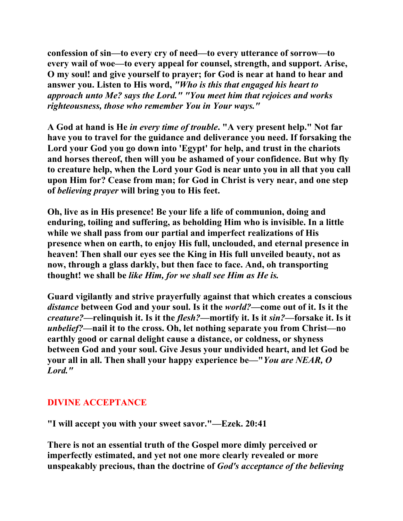**confession of sin—to every cry of need—to every utterance of sorrow—to every wail of woe—to every appeal for counsel, strength, and support. Arise, O my soul! and give yourself to prayer; for God is near at hand to hear and answer you. Listen to His word,** *"Who is this that engaged his heart to approach unto Me? says the Lord." "You meet him that rejoices and works righteousness, those who remember You in Your ways."*

**A God at hand is He** *in every time of trouble***. "A very present help." Not far have you to travel for the guidance and deliverance you need. If forsaking the Lord your God you go down into 'Egypt' for help, and trust in the chariots and horses thereof, then will you be ashamed of your confidence. But why fly to creature help, when the Lord your God is near unto you in all that you call upon Him for? Cease from man; for God in Christ is very near, and one step of** *believing prayer* **will bring you to His feet.** 

**Oh, live as in His presence! Be your life a life of communion, doing and enduring, toiling and suffering, as beholding Him who is invisible. In a little while we shall pass from our partial and imperfect realizations of His presence when on earth, to enjoy His full, unclouded, and eternal presence in heaven! Then shall our eyes see the King in His full unveiled beauty, not as now, through a glass darkly, but then face to face. And, oh transporting thought! we shall be** *like Him, for we shall see Him as He is.*

**Guard vigilantly and strive prayerfully against that which creates a conscious**  *distance* **between God and your soul. Is it the** *world?***—come out of it. Is it the**  *creature?***—relinquish it. Is it the** *flesh?***—mortify it. Is it** *sin?***—forsake it. Is it**  *unbelief?***—nail it to the cross. Oh, let nothing separate you from Christ—no earthly good or carnal delight cause a distance, or coldness, or shyness between God and your soul. Give Jesus your undivided heart, and let God be your all in all. Then shall your happy experience be—"***You are NEAR, O Lord."*

# **DIVINE ACCEPTANCE**

**"I will accept you with your sweet savor."—Ezek. 20:41** 

**There is not an essential truth of the Gospel more dimly perceived or imperfectly estimated, and yet not one more clearly revealed or more unspeakably precious, than the doctrine of** *God's acceptance of the believing*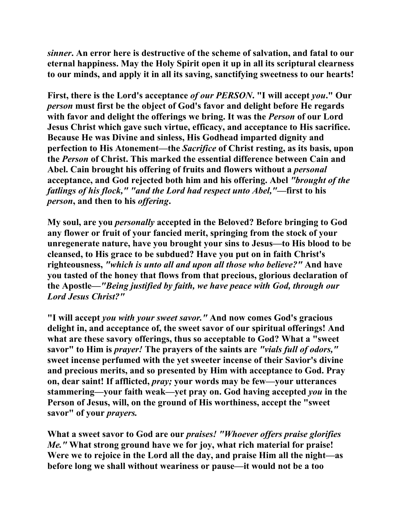*sinner***. An error here is destructive of the scheme of salvation, and fatal to our eternal happiness. May the Holy Spirit open it up in all its scriptural clearness to our minds, and apply it in all its saving, sanctifying sweetness to our hearts!** 

**First, there is the Lord's acceptance** *of our PERSON***. "I will accept** *you***." Our**  *person* **must first be the object of God's favor and delight before He regards with favor and delight the offerings we bring. It was the** *Person* **of our Lord Jesus Christ which gave such virtue, efficacy, and acceptance to His sacrifice. Because He was Divine and sinless, His Godhead imparted dignity and perfection to His Atonement—the** *Sacrifice* **of Christ resting, as its basis, upon the** *Person* **of Christ. This marked the essential difference between Cain and Abel. Cain brought his offering of fruits and flowers without a** *personal*  **acceptance, and God rejected both him and his offering. Abel** *"brought of the fatlings of his flock," "and the Lord had respect unto Abel,"***—first to his**  *person***, and then to his** *offering***.** 

**My soul, are you** *personally* **accepted in the Beloved? Before bringing to God any flower or fruit of your fancied merit, springing from the stock of your unregenerate nature, have you brought your sins to Jesus—to His blood to be cleansed, to His grace to be subdued? Have you put on in faith Christ's righteousness,** *"which is unto all and upon all those who believe?"* **And have you tasted of the honey that flows from that precious, glorious declaration of the Apostle—***"Being justified by faith, we have peace with God, through our Lord Jesus Christ?"*

**"I will accept** *you with your sweet savor."* **And now comes God's gracious delight in, and acceptance of, the sweet savor of our spiritual offerings! And what are these savory offerings, thus so acceptable to God? What a "sweet savor" to Him is** *prayer!* **The prayers of the saints are** *"vials full of odors,"*  **sweet incense perfumed with the yet sweeter incense of their Savior's divine and precious merits, and so presented by Him with acceptance to God. Pray on, dear saint! If afflicted,** *pray;* **your words may be few—your utterances stammering—your faith weak—yet pray on. God having accepted** *you* **in the Person of Jesus, will, on the ground of His worthiness, accept the "sweet savor" of your** *prayers.*

**What a sweet savor to God are our** *praises! "Whoever offers praise glorifies Me."* **What strong ground have we for joy, what rich material for praise! Were we to rejoice in the Lord all the day, and praise Him all the night—as before long we shall without weariness or pause—it would not be a too**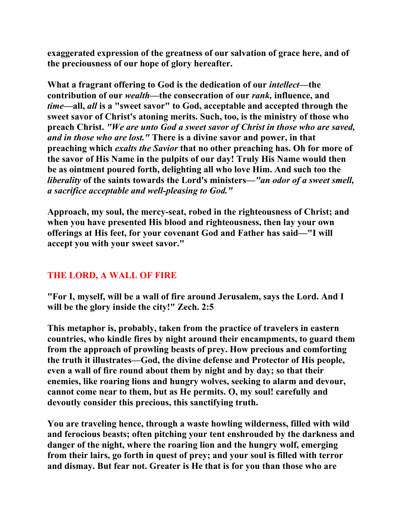**exaggerated expression of the greatness of our salvation of grace here, and of the preciousness of our hope of glory hereafter.** 

**What a fragrant offering to God is the dedication of our** *intellect***—the contribution of our** *wealth***—the consecration of our** *rank,* **influence, and**  *time***—all,** *all* **is a "sweet savor" to God, acceptable and accepted through the sweet savor of Christ's atoning merits. Such, too, is the ministry of those who preach Christ.** *"We are unto God a sweet savor of Christ in those who are saved, and in those who are lost."* **There is a divine savor and power, in that preaching which** *exalts the Savior* **that no other preaching has. Oh for more of the savor of His Name in the pulpits of our day! Truly His Name would then be as ointment poured forth, delighting all who love Him. And such too the**  *liberality* **of the saints towards the Lord's ministers—***"an odor of a sweet smell, a sacrifice acceptable and well-pleasing to God."* 

**Approach, my soul, the mercy-seat, robed in the righteousness of Christ; and when you have presented His blood and righteousness, then lay your own offerings at His feet, for your covenant God and Father has said—"I will accept you with your sweet savor."** 

# **THE LORD, A WALL OF FIRE**

**"For I, myself, will be a wall of fire around Jerusalem, says the Lord. And I will be the glory inside the city!" Zech. 2:5** 

**This metaphor is, probably, taken from the practice of travelers in eastern countries, who kindle fires by night around their encampments, to guard them from the approach of prowling beasts of prey. How precious and comforting the truth it illustrates—God, the divine defense and Protector of His people, even a wall of fire round about them by night and by day; so that their enemies, like roaring lions and hungry wolves, seeking to alarm and devour, cannot come near to them, but as He permits. O, my soul! carefully and devoutly consider this precious, this sanctifying truth.** 

**You are traveling hence, through a waste howling wilderness, filled with wild and ferocious beasts; often pitching your tent enshrouded by the darkness and danger of the night, where the roaring lion and the hungry wolf, emerging from their lairs, go forth in quest of prey; and your soul is filled with terror and dismay. But fear not. Greater is He that is for you than those who are**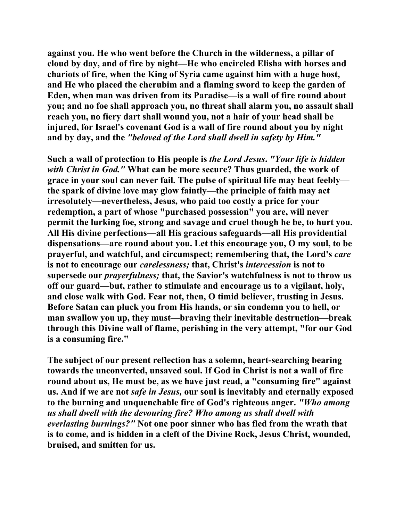**against you. He who went before the Church in the wilderness, a pillar of cloud by day, and of fire by night—He who encircled Elisha with horses and chariots of fire, when the King of Syria came against him with a huge host, and He who placed the cherubim and a flaming sword to keep the garden of Eden, when man was driven from its Paradise—is a wall of fire round about you; and no foe shall approach you, no threat shall alarm you, no assault shall reach you, no fiery dart shall wound you, not a hair of your head shall be injured, for Israel's covenant God is a wall of fire round about you by night and by day, and the** *"beloved of the Lord shall dwell in safety by Him."*

**Such a wall of protection to His people is** *the Lord Jesus***.** *"Your life is hidden with Christ in God."* **What can be more secure? Thus guarded, the work of grace in your soul can never fail. The pulse of spiritual life may beat feebly the spark of divine love may glow faintly—the principle of faith may act irresolutely—nevertheless, Jesus, who paid too costly a price for your redemption, a part of whose "purchased possession" you are, will never permit the lurking foe, strong and savage and cruel though he be, to hurt you. All His divine perfections—all His gracious safeguards—all His providential dispensations—are round about you. Let this encourage you, O my soul, to be prayerful, and watchful, and circumspect; remembering that, the Lord's** *care*  **is not to encourage our** *carelessness;* **that, Christ's** *intercession* **is not to supersede our** *prayerfulness;* **that, the Savior's watchfulness is not to throw us off our guard—but, rather to stimulate and encourage us to a vigilant, holy, and close walk with God. Fear not, then, O timid believer, trusting in Jesus. Before Satan can pluck you from His hands, or sin condemn you to hell, or man swallow you up, they must—braving their inevitable destruction—break through this Divine wall of flame, perishing in the very attempt, "for our God is a consuming fire."** 

**The subject of our present reflection has a solemn, heart-searching bearing towards the unconverted, unsaved soul. If God in Christ is not a wall of fire round about us, He must be, as we have just read, a "consuming fire" against us. And if we are not** *safe in Jesus,* **our soul is inevitably and eternally exposed to the burning and unquenchable fire of God's righteous anger.** *"Who among us shall dwell with the devouring fire? Who among us shall dwell with everlasting burnings?"* **Not one poor sinner who has fled from the wrath that is to come, and is hidden in a cleft of the Divine Rock, Jesus Christ, wounded, bruised, and smitten for us.**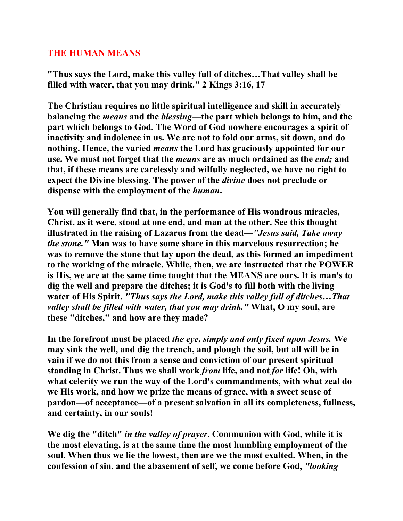#### **THE HUMAN MEANS**

**"Thus says the Lord, make this valley full of ditches…That valley shall be filled with water, that you may drink." 2 Kings 3:16, 17** 

**The Christian requires no little spiritual intelligence and skill in accurately balancing the** *means* **and the** *blessing***—the part which belongs to him, and the part which belongs to God. The Word of God nowhere encourages a spirit of inactivity and indolence in us. We are not to fold our arms, sit down, and do nothing. Hence, the varied** *means* **the Lord has graciously appointed for our use. We must not forget that the** *means* **are as much ordained as the** *end;* **and that, if these means are carelessly and wilfully neglected, we have no right to expect the Divine blessing. The power of the** *divine* **does not preclude or dispense with the employment of the** *human***.** 

**You will generally find that, in the performance of His wondrous miracles, Christ, as it were, stood at one end, and man at the other. See this thought illustrated in the raising of Lazarus from the dead—***"Jesus said, Take away the stone."* **Man was to have some share in this marvelous resurrection; he was to remove the stone that lay upon the dead, as this formed an impediment to the working of the miracle. While, then, we are instructed that the POWER is His, we are at the same time taught that the MEANS are ours. It is man's to dig the well and prepare the ditches; it is God's to fill both with the living water of His Spirit.** *"Thus says the Lord, make this valley full of ditches…That valley shall be filled with water, that you may drink."* **What, O my soul, are these "ditches," and how are they made?** 

**In the forefront must be placed** *the eye, simply and only fixed upon Jesus.* **We may sink the well, and dig the trench, and plough the soil, but all will be in vain if we do not this from a sense and conviction of our present spiritual standing in Christ. Thus we shall work** *from* **life, and not** *for* **life! Oh, with what celerity we run the way of the Lord's commandments, with what zeal do we His work, and how we prize the means of grace, with a sweet sense of pardon—of acceptance—of a present salvation in all its completeness, fullness, and certainty, in our souls!** 

**We dig the "ditch"** *in the valley of prayer***. Communion with God, while it is the most elevating, is at the same time the most humbling employment of the soul. When thus we lie the lowest, then are we the most exalted. When, in the confession of sin, and the abasement of self, we come before God,** *"looking*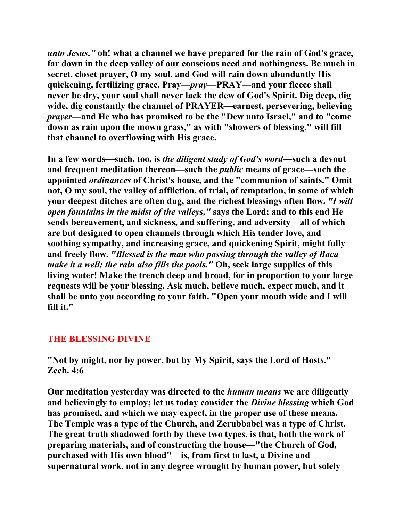*unto Jesus,"* **oh! what a channel we have prepared for the rain of God's grace, far down in the deep valley of our conscious need and nothingness. Be much in secret, closet prayer, O my soul, and God will rain down abundantly His quickening, fertilizing grace. Pray—***pray***—PRAY—and your fleece shall never be dry, your soul shall never lack the dew of God's Spirit. Dig deep, dig wide, dig constantly the channel of PRAYER—earnest, persevering, believing**  *prayer***—and He who has promised to be the "Dew unto Israel," and to "come down as rain upon the mown grass," as with "showers of blessing," will fill that channel to overflowing with His grace.** 

**In a few words—such, too, is** *the diligent study of God's word***—such a devout and frequent meditation thereon—such the** *public* **means of grace—such the appointed** *ordinances* **of Christ's house, and the "communion of saints." Omit not, O my soul, the valley of affliction, of trial, of temptation, in some of which your deepest ditches are often dug, and the richest blessings often flow.** *"I will open fountains in the midst of the valleys,"* **says the Lord; and to this end He sends bereavement, and sickness, and suffering, and adversity—all of which are but designed to open channels through which His tender love, and soothing sympathy, and increasing grace, and quickening Spirit, might fully and freely flow.** *"Blessed is the man who passing through the valley of Baca make it a well; the rain also fills the pools."* **Oh, seek large supplies of this living water! Make the trench deep and broad, for in proportion to your large requests will be your blessing. Ask much, believe much, expect much, and it shall be unto you according to your faith. "Open your mouth wide and I will fill it."** 

## **THE BLESSING DIVINE**

**"Not by might, nor by power, but by My Spirit, says the Lord of Hosts."— Zech. 4:6** 

**Our meditation yesterday was directed to the** *human means* **we are diligently and believingly to employ; let us today consider the** *Divine blessing* **which God has promised, and which we may expect, in the proper use of these means. The Temple was a type of the Church, and Zerubbabel was a type of Christ. The great truth shadowed forth by these two types, is that, both the work of preparing materials, and of constructing the house—"the Church of God, purchased with His own blood"—is, from first to last, a Divine and supernatural work, not in any degree wrought by human power, but solely**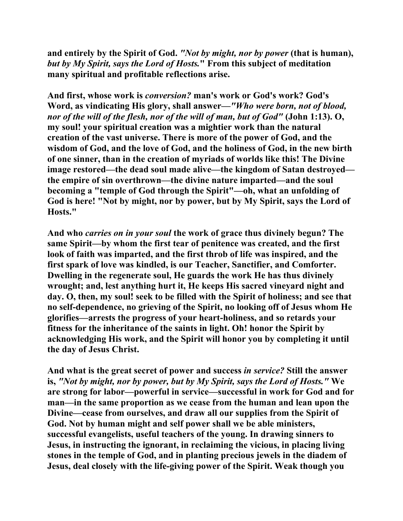**and entirely by the Spirit of God.** *"Not by might, nor by power* **(that is human),**  *but by My Spirit, says the Lord of Hosts.***" From this subject of meditation many spiritual and profitable reflections arise.** 

**And first, whose work is** *conversion?* **man's work or God's work? God's Word, as vindicating His glory, shall answer—***"Who were born, not of blood, nor of the will of the flesh, nor of the will of man, but of God"* **(John 1:13). O, my soul! your spiritual creation was a mightier work than the natural creation of the vast universe. There is more of the power of God, and the wisdom of God, and the love of God, and the holiness of God, in the new birth of one sinner, than in the creation of myriads of worlds like this! The Divine image restored—the dead soul made alive—the kingdom of Satan destroyed the empire of sin overthrown—the divine nature imparted—and the soul becoming a "temple of God through the Spirit"—oh, what an unfolding of God is here! "Not by might, nor by power, but by My Spirit, says the Lord of Hosts."** 

**And who** *carries on in your soul* **the work of grace thus divinely begun? The same Spirit—by whom the first tear of penitence was created, and the first look of faith was imparted, and the first throb of life was inspired, and the first spark of love was kindled, is our Teacher, Sanctifier, and Comforter. Dwelling in the regenerate soul, He guards the work He has thus divinely wrought; and, lest anything hurt it, He keeps His sacred vineyard night and day. O, then, my soul! seek to be filled with the Spirit of holiness; and see that no self-dependence, no grieving of the Spirit, no looking off of Jesus whom He glorifies—arrests the progress of your heart-holiness, and so retards your fitness for the inheritance of the saints in light. Oh! honor the Spirit by acknowledging His work, and the Spirit will honor you by completing it until the day of Jesus Christ.** 

**And what is the great secret of power and success** *in service?* **Still the answer is,** *"Not by might, nor by power, but by My Spirit, says the Lord of Hosts."* **We are strong for labor—powerful in service—successful in work for God and for man—in the same proportion as we cease from the human and lean upon the Divine—cease from ourselves, and draw all our supplies from the Spirit of God. Not by human might and self power shall we be able ministers, successful evangelists, useful teachers of the young. In drawing sinners to Jesus, in instructing the ignorant, in reclaiming the vicious, in placing living stones in the temple of God, and in planting precious jewels in the diadem of Jesus, deal closely with the life-giving power of the Spirit. Weak though you**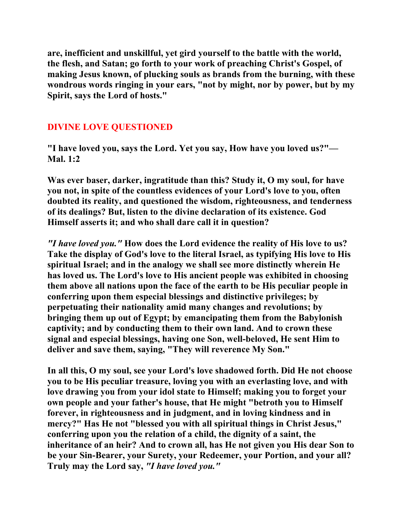**are, inefficient and unskillful, yet gird yourself to the battle with the world, the flesh, and Satan; go forth to your work of preaching Christ's Gospel, of making Jesus known, of plucking souls as brands from the burning, with these wondrous words ringing in your ears, "not by might, nor by power, but by my Spirit, says the Lord of hosts."** 

# **DIVINE LOVE QUESTIONED**

**"I have loved you, says the Lord. Yet you say, How have you loved us?"— Mal. 1:2** 

**Was ever baser, darker, ingratitude than this? Study it, O my soul, for have you not, in spite of the countless evidences of your Lord's love to you, often doubted its reality, and questioned the wisdom, righteousness, and tenderness of its dealings? But, listen to the divine declaration of its existence. God Himself asserts it; and who shall dare call it in question?** 

*"I have loved you."* **How does the Lord evidence the reality of His love to us? Take the display of God's love to the literal Israel, as typifying His love to His spiritual Israel; and in the analogy we shall see more distinctly wherein He has loved us. The Lord's love to His ancient people was exhibited in choosing them above all nations upon the face of the earth to be His peculiar people in conferring upon them especial blessings and distinctive privileges; by perpetuating their nationality amid many changes and revolutions; by bringing them up out of Egypt; by emancipating them from the Babylonish captivity; and by conducting them to their own land. And to crown these signal and especial blessings, having one Son, well-beloved, He sent Him to deliver and save them, saying, "They will reverence My Son."** 

**In all this, O my soul, see your Lord's love shadowed forth. Did He not choose you to be His peculiar treasure, loving you with an everlasting love, and with love drawing you from your idol state to Himself; making you to forget your own people and your father's house, that He might "betroth you to Himself forever, in righteousness and in judgment, and in loving kindness and in mercy?" Has He not "blessed you with all spiritual things in Christ Jesus," conferring upon you the relation of a child, the dignity of a saint, the inheritance of an heir? And to crown all, has He not given you His dear Son to be your Sin-Bearer, your Surety, your Redeemer, your Portion, and your all? Truly may the Lord say,** *"I have loved you."*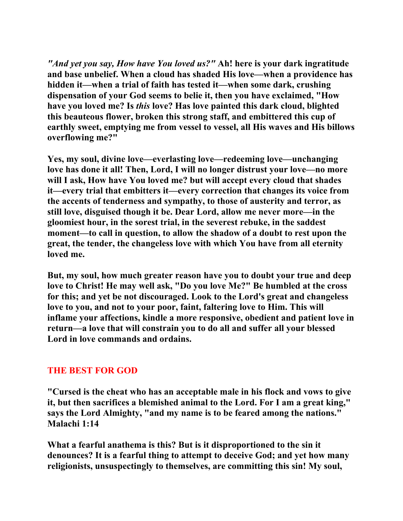*"And yet you say, How have You loved us?"* **Ah! here is your dark ingratitude and base unbelief. When a cloud has shaded His love—when a providence has hidden it—when a trial of faith has tested it—when some dark, crushing dispensation of your God seems to belie it, then you have exclaimed, "How have you loved me? Is** *this* **love? Has love painted this dark cloud, blighted this beauteous flower, broken this strong staff, and embittered this cup of earthly sweet, emptying me from vessel to vessel, all His waves and His billows overflowing me?"** 

**Yes, my soul, divine love—everlasting love—redeeming love—unchanging love has done it all! Then, Lord, I will no longer distrust your love—no more will I ask, How have You loved me? but will accept every cloud that shades it—every trial that embitters it—every correction that changes its voice from the accents of tenderness and sympathy, to those of austerity and terror, as still love, disguised though it be. Dear Lord, allow me never more—in the gloomiest hour, in the sorest trial, in the severest rebuke, in the saddest moment—to call in question, to allow the shadow of a doubt to rest upon the great, the tender, the changeless love with which You have from all eternity loved me.** 

**But, my soul, how much greater reason have you to doubt your true and deep love to Christ! He may well ask, "Do you love Me?" Be humbled at the cross for this; and yet be not discouraged. Look to the Lord's great and changeless love to you, and not to your poor, faint, faltering love to Him. This will inflame your affections, kindle a more responsive, obedient and patient love in return—a love that will constrain you to do all and suffer all your blessed Lord in love commands and ordains.** 

## **THE BEST FOR GOD**

**"Cursed is the cheat who has an acceptable male in his flock and vows to give it, but then sacrifices a blemished animal to the Lord. For I am a great king," says the Lord Almighty, "and my name is to be feared among the nations." Malachi 1:14** 

**What a fearful anathema is this? But is it disproportioned to the sin it denounces? It is a fearful thing to attempt to deceive God; and yet how many religionists, unsuspectingly to themselves, are committing this sin! My soul,**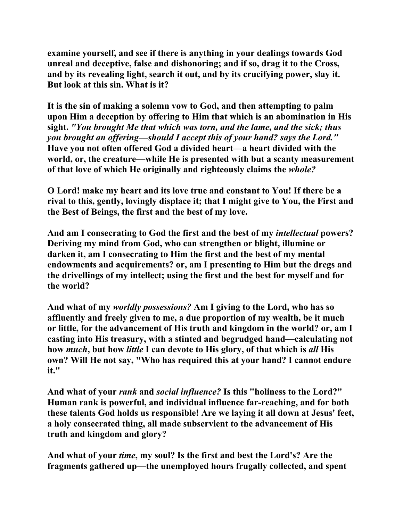**examine yourself, and see if there is anything in your dealings towards God unreal and deceptive, false and dishonoring; and if so, drag it to the Cross, and by its revealing light, search it out, and by its crucifying power, slay it. But look at this sin. What is it?** 

**It is the sin of making a solemn vow to God, and then attempting to palm upon Him a deception by offering to Him that which is an abomination in His sight.** *"You brought Me that which was torn, and the lame, and the sick; thus you brought an offering—should I accept this of your hand? says the Lord."*  **Have you not often offered God a divided heart—a heart divided with the world, or, the creature—while He is presented with but a scanty measurement of that love of which He originally and righteously claims the** *whole?* 

**O Lord! make my heart and its love true and constant to You! If there be a rival to this, gently, lovingly displace it; that I might give to You, the First and the Best of Beings, the first and the best of my love.** 

**And am I consecrating to God the first and the best of my** *intellectual* **powers? Deriving my mind from God, who can strengthen or blight, illumine or darken it, am I consecrating to Him the first and the best of my mental endowments and acquirements? or, am I presenting to Him but the dregs and the drivellings of my intellect; using the first and the best for myself and for the world?** 

**And what of my** *worldly possessions?* **Am I giving to the Lord, who has so affluently and freely given to me, a due proportion of my wealth, be it much or little, for the advancement of His truth and kingdom in the world? or, am I casting into His treasury, with a stinted and begrudged hand—calculating not how** *much***, but how** *little* **I can devote to His glory, of that which is** *all* **His own? Will He not say, "Who has required this at your hand? I cannot endure it."** 

**And what of your** *rank* **and** *social influence?* **Is this "holiness to the Lord?" Human rank is powerful, and individual influence far-reaching, and for both these talents God holds us responsible! Are we laying it all down at Jesus' feet, a holy consecrated thing, all made subservient to the advancement of His truth and kingdom and glory?** 

**And what of your** *time***, my soul? Is the first and best the Lord's? Are the fragments gathered up—the unemployed hours frugally collected, and spent**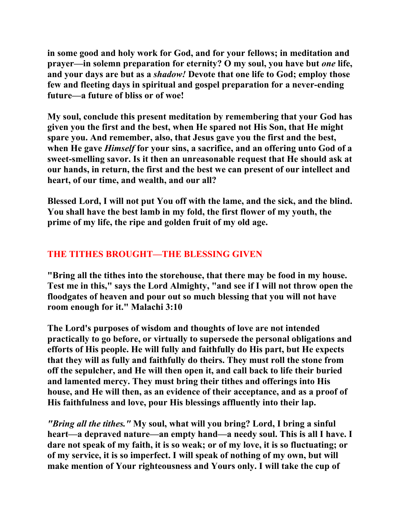**in some good and holy work for God, and for your fellows; in meditation and prayer—in solemn preparation for eternity? O my soul, you have but** *one* **life, and your days are but as a** *shadow!* **Devote that one life to God; employ those few and fleeting days in spiritual and gospel preparation for a never-ending future—a future of bliss or of woe!** 

**My soul, conclude this present meditation by remembering that your God has given you the first and the best, when He spared not His Son, that He might spare you. And remember, also, that Jesus gave you the first and the best, when He gave** *Himself* **for your sins, a sacrifice, and an offering unto God of a sweet-smelling savor. Is it then an unreasonable request that He should ask at our hands, in return, the first and the best we can present of our intellect and heart, of our time, and wealth, and our all?** 

**Blessed Lord, I will not put You off with the lame, and the sick, and the blind. You shall have the best lamb in my fold, the first flower of my youth, the prime of my life, the ripe and golden fruit of my old age.** 

# **THE TITHES BROUGHT—THE BLESSING GIVEN**

**"Bring all the tithes into the storehouse, that there may be food in my house. Test me in this," says the Lord Almighty, "and see if I will not throw open the floodgates of heaven and pour out so much blessing that you will not have room enough for it." Malachi 3:10** 

**The Lord's purposes of wisdom and thoughts of love are not intended practically to go before, or virtually to supersede the personal obligations and efforts of His people. He will fully and faithfully do His part, but He expects that they will as fully and faithfully do theirs. They must roll the stone from off the sepulcher, and He will then open it, and call back to life their buried and lamented mercy. They must bring their tithes and offerings into His house, and He will then, as an evidence of their acceptance, and as a proof of His faithfulness and love, pour His blessings affluently into their lap.** 

*"Bring all the tithes."* **My soul, what will you bring? Lord, I bring a sinful heart—a depraved nature—an empty hand—a needy soul. This is all I have. I dare not speak of my faith, it is so weak; or of my love, it is so fluctuating; or of my service, it is so imperfect. I will speak of nothing of my own, but will make mention of Your righteousness and Yours only. I will take the cup of**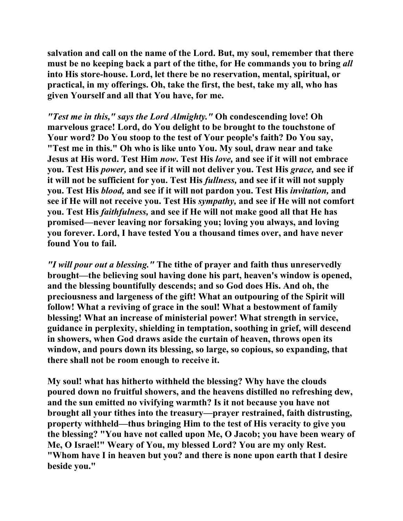**salvation and call on the name of the Lord. But, my soul, remember that there must be no keeping back a part of the tithe, for He commands you to bring** *all*  **into His store-house. Lord, let there be no reservation, mental, spiritual, or practical, in my offerings. Oh, take the first, the best, take my all, who has given Yourself and all that You have, for me.** 

*"Test me in this," says the Lord Almighty."* **Oh condescending love! Oh marvelous grace! Lord, do You delight to be brought to the touchstone of Your word? Do You stoop to the test of Your people's faith? Do You say, "Test me in this." Oh who is like unto You. My soul, draw near and take Jesus at His word. Test Him** *now***. Test His** *love,* **and see if it will not embrace you. Test His** *power,* **and see if it will not deliver you. Test His** *grace,* **and see if it will not be sufficient for you. Test His** *fullness,* **and see if it will not supply you. Test His** *blood,* **and see if it will not pardon you. Test His** *invitation,* **and see if He will not receive you. Test His** *sympathy,* **and see if He will not comfort you. Test His** *faithfulness,* **and see if He will not make good all that He has promised—never leaving nor forsaking you; loving you always, and loving you forever. Lord, I have tested You a thousand times over, and have never found You to fail.** 

*"I will pour out a blessing."* **The tithe of prayer and faith thus unreservedly brought—the believing soul having done his part, heaven's window is opened, and the blessing bountifully descends; and so God does His. And oh, the preciousness and largeness of the gift! What an outpouring of the Spirit will follow! What a reviving of grace in the soul! What a bestowment of family blessing! What an increase of ministerial power! What strength in service, guidance in perplexity, shielding in temptation, soothing in grief, will descend in showers, when God draws aside the curtain of heaven, throws open its window, and pours down its blessing, so large, so copious, so expanding, that there shall not be room enough to receive it.** 

**My soul! what has hitherto withheld the blessing? Why have the clouds poured down no fruitful showers, and the heavens distilled no refreshing dew, and the sun emitted no vivifying warmth? Is it not because you have not brought all your tithes into the treasury—prayer restrained, faith distrusting, property withheld—thus bringing Him to the test of His veracity to give you the blessing? "You have not called upon Me, O Jacob; you have been weary of Me, O Israel!" Weary of You, my blessed Lord? You are my only Rest. "Whom have I in heaven but you? and there is none upon earth that I desire beside you."**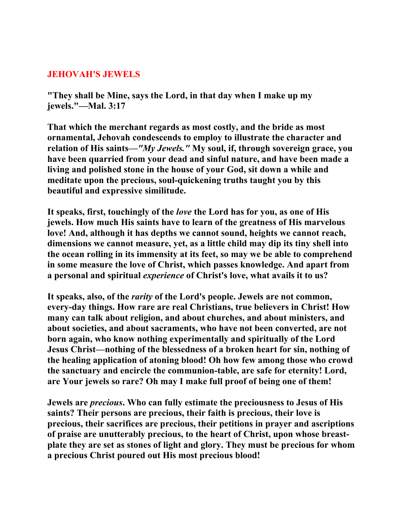## **JEHOVAH'S JEWELS**

**"They shall be Mine, says the Lord, in that day when I make up my jewels."—Mal. 3:17** 

**That which the merchant regards as most costly, and the bride as most ornamental, Jehovah condescends to employ to illustrate the character and relation of His saints—***"My Jewels."* **My soul, if, through sovereign grace, you have been quarried from your dead and sinful nature, and have been made a living and polished stone in the house of your God, sit down a while and meditate upon the precious, soul-quickening truths taught you by this beautiful and expressive similitude.** 

**It speaks, first, touchingly of the** *love* **the Lord has for you, as one of His jewels. How much His saints have to learn of the greatness of His marvelous love! And, although it has depths we cannot sound, heights we cannot reach, dimensions we cannot measure, yet, as a little child may dip its tiny shell into the ocean rolling in its immensity at its feet, so may we be able to comprehend in some measure the love of Christ, which passes knowledge. And apart from a personal and spiritual** *experience* **of Christ's love, what avails it to us?** 

**It speaks, also, of the** *rarity* **of the Lord's people. Jewels are not common, every-day things. How rare are real Christians, true believers in Christ! How many can talk about religion, and about churches, and about ministers, and about societies, and about sacraments, who have not been converted, are not born again, who know nothing experimentally and spiritually of the Lord Jesus Christ—nothing of the blessedness of a broken heart for sin, nothing of the healing application of atoning blood! Oh how few among those who crowd the sanctuary and encircle the communion-table, are safe for eternity! Lord, are Your jewels so rare? Oh may I make full proof of being one of them!** 

**Jewels are** *precious***. Who can fully estimate the preciousness to Jesus of His saints? Their persons are precious, their faith is precious, their love is precious, their sacrifices are precious, their petitions in prayer and ascriptions of praise are unutterably precious, to the heart of Christ, upon whose breastplate they are set as stones of light and glory. They must be precious for whom a precious Christ poured out His most precious blood!**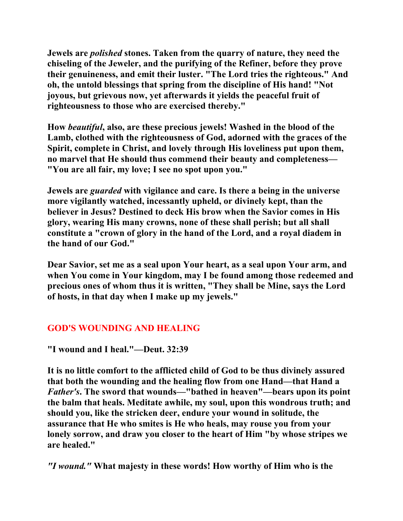**Jewels are** *polished* **stones. Taken from the quarry of nature, they need the chiseling of the Jeweler, and the purifying of the Refiner, before they prove their genuineness, and emit their luster. "The Lord tries the righteous." And oh, the untold blessings that spring from the discipline of His hand! "Not joyous, but grievous now, yet afterwards it yields the peaceful fruit of righteousness to those who are exercised thereby."** 

**How** *beautiful***, also, are these precious jewels! Washed in the blood of the Lamb, clothed with the righteousness of God, adorned with the graces of the Spirit, complete in Christ, and lovely through His loveliness put upon them, no marvel that He should thus commend their beauty and completeness— "You are all fair, my love; I see no spot upon you."** 

**Jewels are** *guarded* **with vigilance and care. Is there a being in the universe more vigilantly watched, incessantly upheld, or divinely kept, than the believer in Jesus? Destined to deck His brow when the Savior comes in His glory, wearing His many crowns, none of these shall perish; but all shall constitute a "crown of glory in the hand of the Lord, and a royal diadem in the hand of our God."** 

**Dear Savior, set me as a seal upon Your heart, as a seal upon Your arm, and when You come in Your kingdom, may I be found among those redeemed and precious ones of whom thus it is written, "They shall be Mine, says the Lord of hosts, in that day when I make up my jewels."** 

# **GOD'S WOUNDING AND HEALING**

**"I wound and I heal."—Deut. 32:39** 

**It is no little comfort to the afflicted child of God to be thus divinely assured that both the wounding and the healing flow from one Hand—that Hand a**  *Father's***. The sword that wounds—"bathed in heaven"—bears upon its point the balm that heals. Meditate awhile, my soul, upon this wondrous truth; and should you, like the stricken deer, endure your wound in solitude, the assurance that He who smites is He who heals, may rouse you from your lonely sorrow, and draw you closer to the heart of Him "by whose stripes we are healed."** 

*"I wound."* **What majesty in these words! How worthy of Him who is the**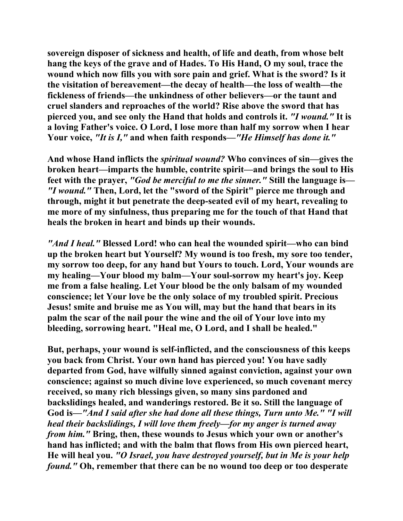**sovereign disposer of sickness and health, of life and death, from whose belt hang the keys of the grave and of Hades. To His Hand, O my soul, trace the wound which now fills you with sore pain and grief. What is the sword? Is it the visitation of bereavement—the decay of health—the loss of wealth—the fickleness of friends—the unkindness of other believers—or the taunt and cruel slanders and reproaches of the world? Rise above the sword that has pierced you, and see only the Hand that holds and controls it.** *"I wound."* **It is a loving Father's voice. O Lord, I lose more than half my sorrow when I hear Your voice,** *"It is I,"* **and when faith responds—***"He Himself has done it."*

**And whose Hand inflicts the** *spiritual wound?* **Who convinces of sin—gives the broken heart—imparts the humble, contrite spirit—and brings the soul to His feet with the prayer,** *"God be merciful to me the sinner."* **Still the language is—** *"I wound."* **Then, Lord, let the "sword of the Spirit" pierce me through and through, might it but penetrate the deep-seated evil of my heart, revealing to me more of my sinfulness, thus preparing me for the touch of that Hand that heals the broken in heart and binds up their wounds.** 

*"And I heal."* **Blessed Lord! who can heal the wounded spirit—who can bind up the broken heart but Yourself? My wound is too fresh, my sore too tender, my sorrow too deep, for any hand but Yours to touch. Lord, Your wounds are my healing—Your blood my balm—Your soul-sorrow my heart's joy. Keep me from a false healing. Let Your blood be the only balsam of my wounded conscience; let Your love be the only solace of my troubled spirit. Precious Jesus! smite and bruise me as You will, may but the hand that bears in its palm the scar of the nail pour the wine and the oil of Your love into my bleeding, sorrowing heart. "Heal me, O Lord, and I shall be healed."** 

**But, perhaps, your wound is self-inflicted, and the consciousness of this keeps you back from Christ. Your own hand has pierced you! You have sadly departed from God, have wilfully sinned against conviction, against your own conscience; against so much divine love experienced, so much covenant mercy received, so many rich blessings given, so many sins pardoned and backslidings healed, and wanderings restored. Be it so. Still the language of God is—***"And I said after she had done all these things, Turn unto Me." "I will heal their backslidings, I will love them freely—for my anger is turned away from him."* **Bring, then, these wounds to Jesus which your own or another's hand has inflicted; and with the balm that flows from His own pierced heart, He will heal you.** *"O Israel, you have destroyed yourself, but in Me is your help found."* **Oh, remember that there can be no wound too deep or too desperate**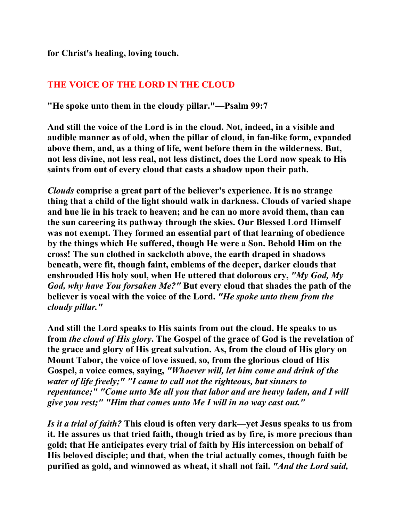**for Christ's healing, loving touch.** 

# **THE VOICE OF THE LORD IN THE CLOUD**

**"He spoke unto them in the cloudy pillar."—Psalm 99:7** 

**And still the voice of the Lord is in the cloud. Not, indeed, in a visible and audible manner as of old, when the pillar of cloud, in fan-like form, expanded above them, and, as a thing of life, went before them in the wilderness. But, not less divine, not less real, not less distinct, does the Lord now speak to His saints from out of every cloud that casts a shadow upon their path.** 

*Clouds* **comprise a great part of the believer's experience. It is no strange thing that a child of the light should walk in darkness. Clouds of varied shape and hue lie in his track to heaven; and he can no more avoid them, than can the sun careering its pathway through the skies. Our Blessed Lord Himself was not exempt. They formed an essential part of that learning of obedience by the things which He suffered, though He were a Son. Behold Him on the cross! The sun clothed in sackcloth above, the earth draped in shadows beneath, were fit, though faint, emblems of the deeper, darker clouds that enshrouded His holy soul, when He uttered that dolorous cry,** *"My God, My God, why have You forsaken Me?"* **But every cloud that shades the path of the believer is vocal with the voice of the Lord.** *"He spoke unto them from the cloudy pillar."*

**And still the Lord speaks to His saints from out the cloud. He speaks to us from** *the cloud of His glory***. The Gospel of the grace of God is the revelation of the grace and glory of His great salvation. As, from the cloud of His glory on Mount Tabor, the voice of love issued, so, from the glorious cloud of His Gospel, a voice comes, saying,** *"Whoever will, let him come and drink of the water of life freely;" "I came to call not the righteous, but sinners to repentance;" "Come unto Me all you that labor and are heavy laden, and I will give you rest;" "Him that comes unto Me I will in no way cast out."*

*Is it a trial of faith?* **This cloud is often very dark—yet Jesus speaks to us from it. He assures us that tried faith, though tried as by fire, is more precious than gold; that He anticipates every trial of faith by His intercession on behalf of His beloved disciple; and that, when the trial actually comes, though faith be purified as gold, and winnowed as wheat, it shall not fail.** *"And the Lord said,*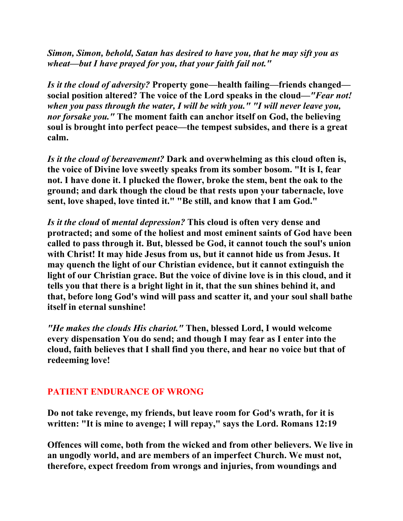*Simon, Simon, behold, Satan has desired to have you, that he may sift you as wheat—but I have prayed for you, that your faith fail not."*

*Is it the cloud of adversity?* **Property gone—health failing—friends changed social position altered? The voice of the Lord speaks in the cloud—***"Fear not! when you pass through the water, I will be with you." "I will never leave you, nor forsake you."* **The moment faith can anchor itself on God, the believing soul is brought into perfect peace—the tempest subsides, and there is a great calm.** 

*Is it the cloud of bereavement?* **Dark and overwhelming as this cloud often is, the voice of Divine love sweetly speaks from its somber bosom. "It is I, fear not. I have done it. I plucked the flower, broke the stem, bent the oak to the ground; and dark though the cloud be that rests upon your tabernacle, love sent, love shaped, love tinted it." "Be still, and know that I am God."** 

*Is it the cloud* **of** *mental depression?* **This cloud is often very dense and protracted; and some of the holiest and most eminent saints of God have been called to pass through it. But, blessed be God, it cannot touch the soul's union with Christ! It may hide Jesus from us, but it cannot hide us from Jesus. It may quench the light of our Christian evidence, but it cannot extinguish the light of our Christian grace. But the voice of divine love is in this cloud, and it tells you that there is a bright light in it, that the sun shines behind it, and that, before long God's wind will pass and scatter it, and your soul shall bathe itself in eternal sunshine!**

*"He makes the clouds His chariot."* **Then, blessed Lord, I would welcome every dispensation You do send; and though I may fear as I enter into the cloud, faith believes that I shall find you there, and hear no voice but that of redeeming love!** 

# **PATIENT ENDURANCE OF WRONG**

**Do not take revenge, my friends, but leave room for God's wrath, for it is written: "It is mine to avenge; I will repay," says the Lord. Romans 12:19** 

**Offences will come, both from the wicked and from other believers. We live in an ungodly world, and are members of an imperfect Church. We must not, therefore, expect freedom from wrongs and injuries, from woundings and**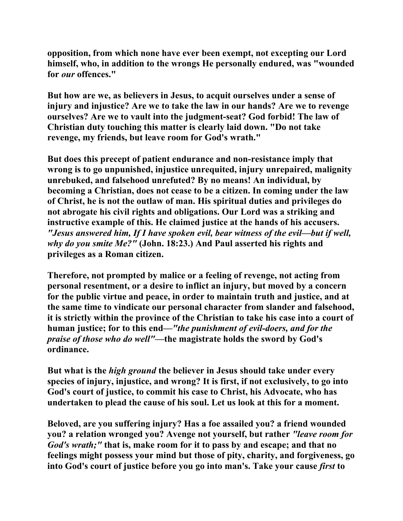**opposition, from which none have ever been exempt, not excepting our Lord himself, who, in addition to the wrongs He personally endured, was "wounded for** *our* **offences."** 

**But how are we, as believers in Jesus, to acquit ourselves under a sense of injury and injustice? Are we to take the law in our hands? Are we to revenge ourselves? Are we to vault into the judgment-seat? God forbid! The law of Christian duty touching this matter is clearly laid down. "Do not take revenge, my friends, but leave room for God's wrath."** 

**But does this precept of patient endurance and non-resistance imply that wrong is to go unpunished, injustice unrequited, injury unrepaired, malignity unrebuked, and falsehood unrefuted? By no means! An individual, by becoming a Christian, does not cease to be a citizen. In coming under the law of Christ, he is not the outlaw of man. His spiritual duties and privileges do not abrogate his civil rights and obligations. Our Lord was a striking and instructive example of this. He claimed justice at the hands of his accusers.**  *"Jesus answered him, If I have spoken evil, bear witness of the evil—but if well, why do you smite Me?"* **(John. 18:23.) And Paul asserted his rights and privileges as a Roman citizen.** 

**Therefore, not prompted by malice or a feeling of revenge, not acting from personal resentment, or a desire to inflict an injury, but moved by a concern for the public virtue and peace, in order to maintain truth and justice, and at the same time to vindicate our personal character from slander and falsehood, it is strictly within the province of the Christian to take his case into a court of human justice; for to this end—***"the punishment of evil-doers, and for the praise of those who do well"***—the magistrate holds the sword by God's ordinance.** 

**But what is the** *high ground* **the believer in Jesus should take under every species of injury, injustice, and wrong? It is first, if not exclusively, to go into God's court of justice, to commit his case to Christ, his Advocate, who has undertaken to plead the cause of his soul. Let us look at this for a moment.** 

**Beloved, are you suffering injury? Has a foe assailed you? a friend wounded you? a relation wronged you? Avenge not yourself, but rather** *"leave room for God's wrath;"* **that is, make room for it to pass by and escape; and that no feelings might possess your mind but those of pity, charity, and forgiveness, go into God's court of justice before you go into man's. Take your cause** *first* **to**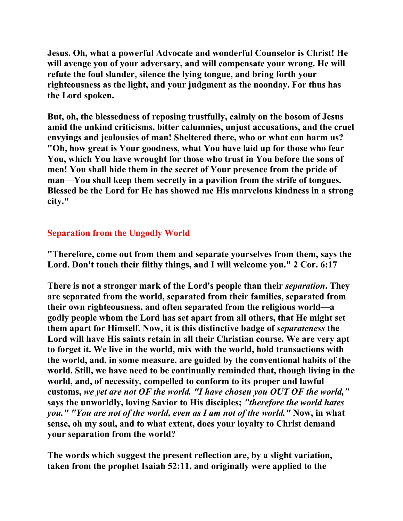**Jesus. Oh, what a powerful Advocate and wonderful Counselor is Christ! He will avenge you of your adversary, and will compensate your wrong. He will refute the foul slander, silence the lying tongue, and bring forth your righteousness as the light, and your judgment as the noonday. For thus has the Lord spoken.** 

**But, oh, the blessedness of reposing trustfully, calmly on the bosom of Jesus amid the unkind criticisms, bitter calumnies, unjust accusations, and the cruel envyings and jealousies of man! Sheltered there, who or what can harm us? "Oh, how great is Your goodness, what You have laid up for those who fear You, which You have wrought for those who trust in You before the sons of men! You shall hide them in the secret of Your presence from the pride of man—You shall keep them secretly in a pavilion from the strife of tongues. Blessed be the Lord for He has showed me His marvelous kindness in a strong city."** 

# **Separation from the Ungodly World**

**"Therefore, come out from them and separate yourselves from them, says the Lord. Don't touch their filthy things, and I will welcome you." 2 Cor. 6:17** 

**There is not a stronger mark of the Lord's people than their** *separation***. They are separated from the world, separated from their families, separated from their own righteousness, and often separated from the religious world—a godly people whom the Lord has set apart from all others, that He might set them apart for Himself. Now, it is this distinctive badge of** *separateness* **the Lord will have His saints retain in all their Christian course. We are very apt to forget it. We live in the world, mix with the world, hold transactions with the world, and, in some measure, are guided by the conventional habits of the world. Still, we have need to be continually reminded that, though living in the world, and, of necessity, compelled to conform to its proper and lawful customs,** *we yet are not OF the world. "I have chosen you OUT OF the world,"*  **says the unworldly, loving Savior to His disciples;** *"therefore the world hates you." "You are not of the world, even as I am not of the world."* **Now, in what sense, oh my soul, and to what extent, does your loyalty to Christ demand your separation from the world?** 

**The words which suggest the present reflection are, by a slight variation, taken from the prophet Isaiah 52:11, and originally were applied to the**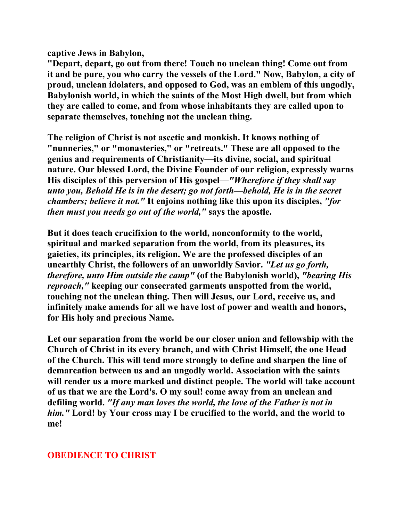**captive Jews in Babylon,**

**"Depart, depart, go out from there! Touch no unclean thing! Come out from it and be pure, you who carry the vessels of the Lord." Now, Babylon, a city of proud, unclean idolaters, and opposed to God, was an emblem of this ungodly, Babylonish world, in which the saints of the Most High dwell, but from which they are called to come, and from whose inhabitants they are called upon to separate themselves, touching not the unclean thing.** 

**The religion of Christ is not ascetic and monkish. It knows nothing of "nunneries," or "monasteries," or "retreats." These are all opposed to the genius and requirements of Christianity—its divine, social, and spiritual nature. Our blessed Lord, the Divine Founder of our religion, expressly warns His disciples of this perversion of His gospel—***"Wherefore if they shall say unto you, Behold He is in the desert; go not forth—behold, He is in the secret chambers; believe it not."* **It enjoins nothing like this upon its disciples,** *"for then must you needs go out of the world,"* **says the apostle.** 

**But it does teach crucifixion to the world, nonconformity to the world, spiritual and marked separation from the world, from its pleasures, its gaieties, its principles, its religion. We are the professed disciples of an unearthly Christ, the followers of an unworldly Savior.** *"Let us go forth, therefore, unto Him outside the camp"* **(of the Babylonish world),** *"bearing His reproach,"* **keeping our consecrated garments unspotted from the world, touching not the unclean thing. Then will Jesus, our Lord, receive us, and infinitely make amends for all we have lost of power and wealth and honors, for His holy and precious Name.** 

**Let our separation from the world be our closer union and fellowship with the Church of Christ in its every branch, and with Christ Himself, the one Head of the Church. This will tend more strongly to define and sharpen the line of demarcation between us and an ungodly world. Association with the saints will render us a more marked and distinct people. The world will take account of us that we are the Lord's. O my soul! come away from an unclean and defiling world.** *"If any man loves the world, the love of the Father is not in him."* **Lord! by Your cross may I be crucified to the world, and the world to me!** 

# **OBEDIENCE TO CHRIST**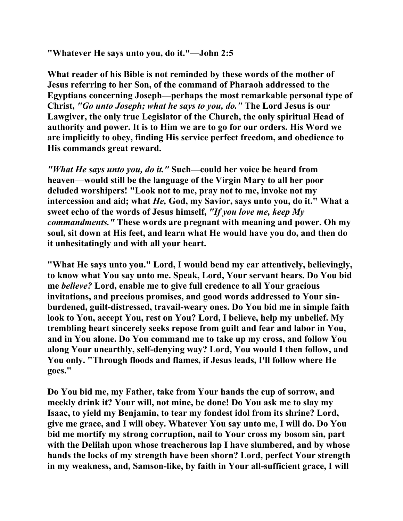**"Whatever He says unto you, do it."—John 2:5** 

**What reader of his Bible is not reminded by these words of the mother of Jesus referring to her Son, of the command of Pharaoh addressed to the Egyptians concerning Joseph—perhaps the most remarkable personal type of Christ,** *"Go unto Joseph; what he says to you, do."* **The Lord Jesus is our Lawgiver, the only true Legislator of the Church, the only spiritual Head of authority and power. It is to Him we are to go for our orders. His Word we are implicitly to obey, finding His service perfect freedom, and obedience to His commands great reward.** 

*"What He says unto you, do it."* **Such—could her voice be heard from heaven—would still be the language of the Virgin Mary to all her poor deluded worshipers! "Look not to me, pray not to me, invoke not my intercession and aid; what** *He,* **God, my Savior, says unto you, do it." What a sweet echo of the words of Jesus himself,** *"If you love me, keep My commandments."* **These words are pregnant with meaning and power. Oh my soul, sit down at His feet, and learn what He would have you do, and then do it unhesitatingly and with all your heart.** 

**"What He says unto you." Lord, I would bend my ear attentively, believingly, to know what You say unto me. Speak, Lord, Your servant hears. Do You bid me** *believe?* **Lord, enable me to give full credence to all Your gracious invitations, and precious promises, and good words addressed to Your sinburdened, guilt-distressed, travail-weary ones. Do You bid me in simple faith look to You, accept You, rest on You? Lord, I believe, help my unbelief. My trembling heart sincerely seeks repose from guilt and fear and labor in You, and in You alone. Do You command me to take up my cross, and follow You along Your unearthly, self-denying way? Lord, You would I then follow, and You only. "Through floods and flames, if Jesus leads, I'll follow where He goes."** 

**Do You bid me, my Father, take from Your hands the cup of sorrow, and meekly drink it? Your will, not mine, be done! Do You ask me to slay my Isaac, to yield my Benjamin, to tear my fondest idol from its shrine? Lord, give me grace, and I will obey. Whatever You say unto me, I will do. Do You bid me mortify my strong corruption, nail to Your cross my bosom sin, part with the Delilah upon whose treacherous lap I have slumbered, and by whose hands the locks of my strength have been shorn? Lord, perfect Your strength in my weakness, and, Samson-like, by faith in Your all-sufficient grace, I will**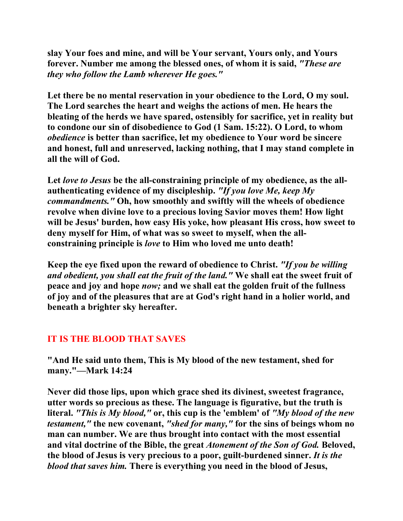**slay Your foes and mine, and will be Your servant, Yours only, and Yours forever. Number me among the blessed ones, of whom it is said,** *"These are they who follow the Lamb wherever He goes."*

**Let there be no mental reservation in your obedience to the Lord, O my soul. The Lord searches the heart and weighs the actions of men. He hears the bleating of the herds we have spared, ostensibly for sacrifice, yet in reality but to condone our sin of disobedience to God (1 Sam. 15:22). O Lord, to whom**  *obedience* **is better than sacrifice, let my obedience to Your word be sincere and honest, full and unreserved, lacking nothing, that I may stand complete in all the will of God.** 

**Let** *love to Jesus* **be the all-constraining principle of my obedience, as the allauthenticating evidence of my discipleship.** *"If you love Me, keep My commandments."* **Oh, how smoothly and swiftly will the wheels of obedience revolve when divine love to a precious loving Savior moves them! How light will be Jesus' burden, how easy His yoke, how pleasant His cross, how sweet to deny myself for Him, of what was so sweet to myself, when the allconstraining principle is** *love* **to Him who loved me unto death!** 

**Keep the eye fixed upon the reward of obedience to Christ.** *"If you be willing and obedient, you shall eat the fruit of the land."* **We shall eat the sweet fruit of peace and joy and hope** *now;* **and we shall eat the golden fruit of the fullness of joy and of the pleasures that are at God's right hand in a holier world, and beneath a brighter sky hereafter.** 

# **IT IS THE BLOOD THAT SAVES**

**"And He said unto them, This is My blood of the new testament, shed for many."—Mark 14:24** 

**Never did those lips, upon which grace shed its divinest, sweetest fragrance, utter words so precious as these. The language is figurative, but the truth is literal.** *"This is My blood,"* **or, this cup is the 'emblem' of** *"My blood of the new testament,"* **the new covenant,** *"shed for many,"* **for the sins of beings whom no man can number. We are thus brought into contact with the most essential and vital doctrine of the Bible, the great** *Atonement of the Son of God.* **Beloved, the blood of Jesus is very precious to a poor, guilt-burdened sinner.** *It is the blood that saves him.* **There is everything you need in the blood of Jesus,**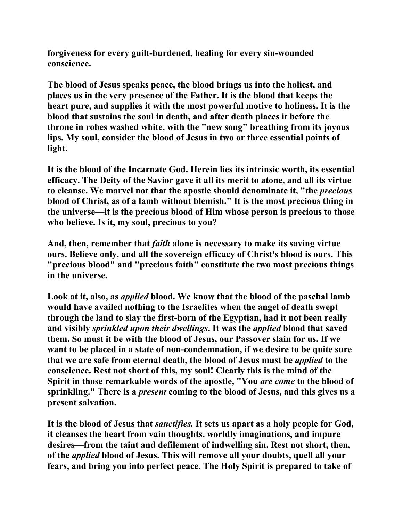**forgiveness for every guilt-burdened, healing for every sin-wounded conscience.** 

**The blood of Jesus speaks peace, the blood brings us into the holiest, and places us in the very presence of the Father. It is the blood that keeps the heart pure, and supplies it with the most powerful motive to holiness. It is the blood that sustains the soul in death, and after death places it before the throne in robes washed white, with the "new song" breathing from its joyous lips. My soul, consider the blood of Jesus in two or three essential points of light.** 

**It is the blood of the Incarnate God. Herein lies its intrinsic worth, its essential efficacy. The Deity of the Savior gave it all its merit to atone, and all its virtue to cleanse. We marvel not that the apostle should denominate it, "the** *precious*  **blood of Christ, as of a lamb without blemish." It is the most precious thing in the universe—it is the precious blood of Him whose person is precious to those who believe. Is it, my soul, precious to you?** 

**And, then, remember that** *faith* **alone is necessary to make its saving virtue ours. Believe only, and all the sovereign efficacy of Christ's blood is ours. This "precious blood" and "precious faith" constitute the two most precious things in the universe.** 

**Look at it, also, as** *applied* **blood. We know that the blood of the paschal lamb would have availed nothing to the Israelites when the angel of death swept through the land to slay the first-born of the Egyptian, had it not been really and visibly** *sprinkled upon their dwellings***. It was the** *applied* **blood that saved them. So must it be with the blood of Jesus, our Passover slain for us. If we want to be placed in a state of non-condemnation, if we desire to be quite sure that we are safe from eternal death, the blood of Jesus must be** *applied* **to the conscience. Rest not short of this, my soul! Clearly this is the mind of the Spirit in those remarkable words of the apostle, "You** *are come* **to the blood of sprinkling." There is a** *present* **coming to the blood of Jesus, and this gives us a present salvation.** 

**It is the blood of Jesus that** *sanctifies.* **It sets us apart as a holy people for God, it cleanses the heart from vain thoughts, worldly imaginations, and impure desires—from the taint and defilement of indwelling sin. Rest not short, then, of the** *applied* **blood of Jesus. This will remove all your doubts, quell all your fears, and bring you into perfect peace. The Holy Spirit is prepared to take of**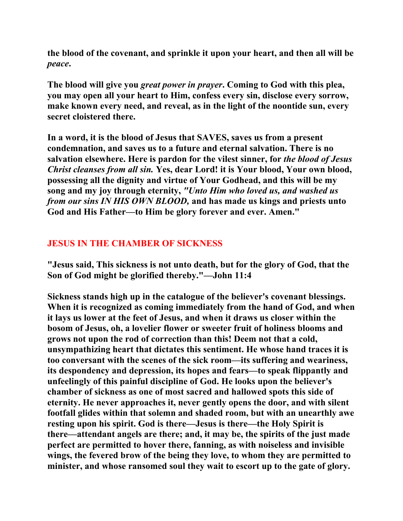**the blood of the covenant, and sprinkle it upon your heart, and then all will be**  *peace***.** 

**The blood will give you** *great power in prayer***. Coming to God with this plea, you may open all your heart to Him, confess every sin, disclose every sorrow, make known every need, and reveal, as in the light of the noontide sun, every secret cloistered there.** 

**In a word, it is the blood of Jesus that SAVES, saves us from a present condemnation, and saves us to a future and eternal salvation. There is no salvation elsewhere. Here is pardon for the vilest sinner, for** *the blood of Jesus Christ cleanses from all sin.* **Yes, dear Lord! it is Your blood, Your own blood, possessing all the dignity and virtue of Your Godhead, and this will be my song and my joy through eternity,** *"Unto Him who loved us, and washed us from our sins IN HIS OWN BLOOD,* **and has made us kings and priests unto God and His Father—to Him be glory forever and ever. Amen."** 

# **JESUS IN THE CHAMBER OF SICKNESS**

**"Jesus said, This sickness is not unto death, but for the glory of God, that the Son of God might be glorified thereby."—John 11:4** 

**Sickness stands high up in the catalogue of the believer's covenant blessings. When it is recognized as coming immediately from the hand of God, and when it lays us lower at the feet of Jesus, and when it draws us closer within the bosom of Jesus, oh, a lovelier flower or sweeter fruit of holiness blooms and grows not upon the rod of correction than this! Deem not that a cold, unsympathizing heart that dictates this sentiment. He whose hand traces it is too conversant with the scenes of the sick room—its suffering and weariness, its despondency and depression, its hopes and fears—to speak flippantly and unfeelingly of this painful discipline of God. He looks upon the believer's chamber of sickness as one of most sacred and hallowed spots this side of eternity. He never approaches it, never gently opens the door, and with silent footfall glides within that solemn and shaded room, but with an unearthly awe resting upon his spirit. God is there—Jesus is there—the Holy Spirit is there—attendant angels are there; and, it may be, the spirits of the just made perfect are permitted to hover there, fanning, as with noiseless and invisible wings, the fevered brow of the being they love, to whom they are permitted to minister, and whose ransomed soul they wait to escort up to the gate of glory.**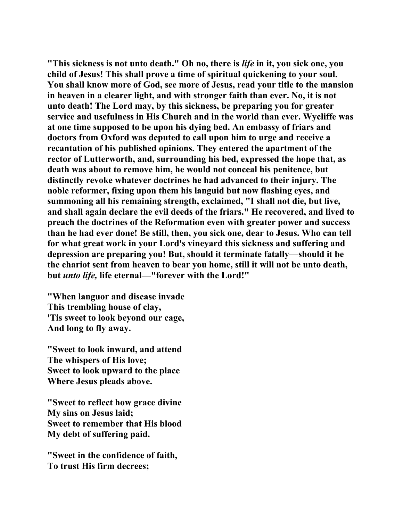**"This sickness is not unto death." Oh no, there is** *life* **in it, you sick one, you child of Jesus! This shall prove a time of spiritual quickening to your soul. You shall know more of God, see more of Jesus, read your title to the mansion in heaven in a clearer light, and with stronger faith than ever. No, it is not unto death! The Lord may, by this sickness, be preparing you for greater service and usefulness in His Church and in the world than ever. Wycliffe was at one time supposed to be upon his dying bed. An embassy of friars and doctors from Oxford was deputed to call upon him to urge and receive a recantation of his published opinions. They entered the apartment of the rector of Lutterworth, and, surrounding his bed, expressed the hope that, as death was about to remove him, he would not conceal his penitence, but distinctly revoke whatever doctrines he had advanced to their injury. The noble reformer, fixing upon them his languid but now flashing eyes, and summoning all his remaining strength, exclaimed, "I shall not die, but live, and shall again declare the evil deeds of the friars." He recovered, and lived to preach the doctrines of the Reformation even with greater power and success than he had ever done! Be still, then, you sick one, dear to Jesus. Who can tell for what great work in your Lord's vineyard this sickness and suffering and depression are preparing you! But, should it terminate fatally—should it be the chariot sent from heaven to bear you home, still it will not be unto death, but** *unto life,* **life eternal—"forever with the Lord!"** 

**"When languor and disease invade This trembling house of clay, 'Tis sweet to look beyond our cage, And long to fly away.** 

**"Sweet to look inward, and attend The whispers of His love; Sweet to look upward to the place Where Jesus pleads above.** 

**"Sweet to reflect how grace divine My sins on Jesus laid; Sweet to remember that His blood My debt of suffering paid.** 

**"Sweet in the confidence of faith, To trust His firm decrees;**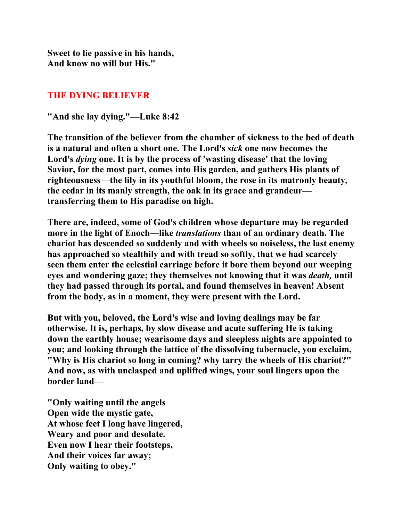**Sweet to lie passive in his hands, And know no will but His."** 

## **THE DYING BELIEVER**

**"And she lay dying."—Luke 8:42** 

**The transition of the believer from the chamber of sickness to the bed of death is a natural and often a short one. The Lord's** *sick* **one now becomes the Lord's** *dying* **one. It is by the process of 'wasting disease' that the loving Savior, for the most part, comes into His garden, and gathers His plants of righteousness—the lily in its youthful bloom, the rose in its matronly beauty, the cedar in its manly strength, the oak in its grace and grandeur transferring them to His paradise on high.** 

**There are, indeed, some of God's children whose departure may be regarded more in the light of Enoch—like** *translations* **than of an ordinary death. The chariot has descended so suddenly and with wheels so noiseless, the last enemy has approached so stealthily and with tread so softly, that we had scarcely seen them enter the celestial carriage before it bore them beyond our weeping eyes and wondering gaze; they themselves not knowing that it was** *death,* **until they had passed through its portal, and found themselves in heaven! Absent from the body, as in a moment, they were present with the Lord.** 

**But with you, beloved, the Lord's wise and loving dealings may be far otherwise. It is, perhaps, by slow disease and acute suffering He is taking down the earthly house; wearisome days and sleepless nights are appointed to you; and looking through the lattice of the dissolving tabernacle, you exclaim, "Why is His chariot so long in coming? why tarry the wheels of His chariot?" And now, as with unclasped and uplifted wings, your soul lingers upon the border land—** 

**"Only waiting until the angels Open wide the mystic gate, At whose feet I long have lingered, Weary and poor and desolate. Even now I hear their footsteps, And their voices far away; Only waiting to obey."**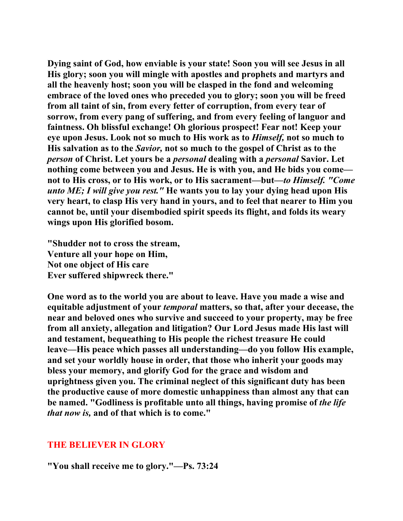**Dying saint of God, how enviable is your state! Soon you will see Jesus in all His glory; soon you will mingle with apostles and prophets and martyrs and all the heavenly host; soon you will be clasped in the fond and welcoming embrace of the loved ones who preceded you to glory; soon you will be freed from all taint of sin, from every fetter of corruption, from every tear of sorrow, from every pang of suffering, and from every feeling of languor and faintness. Oh blissful exchange! Oh glorious prospect! Fear not! Keep your eye upon Jesus. Look not so much to His work as to** *Himself,* **not so much to His salvation as to the** *Savior,* **not so much to the gospel of Christ as to the**  *person* **of Christ. Let yours be a** *personal* **dealing with a** *personal* **Savior. Let nothing come between you and Jesus. He is with you, and He bids you come not to His cross, or to His work, or to His sacrament—but—***to Himself. "Come unto ME; I will give you rest."* **He wants you to lay your dying head upon His very heart, to clasp His very hand in yours, and to feel that nearer to Him you cannot be, until your disembodied spirit speeds its flight, and folds its weary wings upon His glorified bosom.** 

**"Shudder not to cross the stream, Venture all your hope on Him, Not one object of His care Ever suffered shipwreck there."** 

**One word as to the world you are about to leave. Have you made a wise and equitable adjustment of your** *temporal* **matters, so that, after your decease, the near and beloved ones who survive and succeed to your property, may be free from all anxiety, allegation and litigation? Our Lord Jesus made His last will and testament, bequeathing to His people the richest treasure He could leave—His peace which passes all understanding—do you follow His example, and set your worldly house in order, that those who inherit your goods may bless your memory, and glorify God for the grace and wisdom and uprightness given you. The criminal neglect of this significant duty has been the productive cause of more domestic unhappiness than almost any that can be named. "Godliness is profitable unto all things, having promise of** *the life that now is,* **and of that which is to come."** 

#### **THE BELIEVER IN GLORY**

**"You shall receive me to glory."—Ps. 73:24**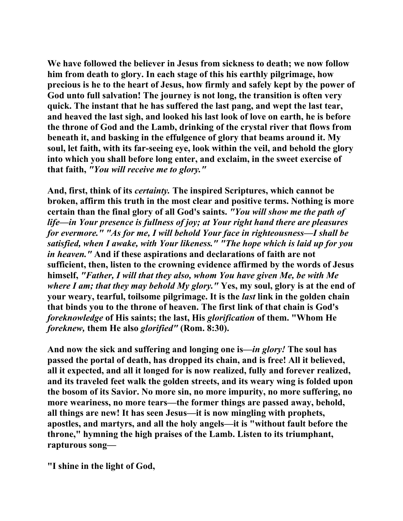**We have followed the believer in Jesus from sickness to death; we now follow him from death to glory. In each stage of this his earthly pilgrimage, how precious is he to the heart of Jesus, how firmly and safely kept by the power of God unto full salvation! The journey is not long, the transition is often very quick. The instant that he has suffered the last pang, and wept the last tear, and heaved the last sigh, and looked his last look of love on earth, he is before the throne of God and the Lamb, drinking of the crystal river that flows from beneath it, and basking in the effulgence of glory that beams around it. My soul, let faith, with its far-seeing eye, look within the veil, and behold the glory into which you shall before long enter, and exclaim, in the sweet exercise of that faith,** *"You will receive me to glory."*

**And, first, think of its** *certainty.* **The inspired Scriptures, which cannot be broken, affirm this truth in the most clear and positive terms. Nothing is more certain than the final glory of all God's saints.** *"You will show me the path of life—in Your presence is fullness of joy; at Your right hand there are pleasures for evermore." "As for me, I will behold Your face in righteousness—I shall be satisfied, when I awake, with Your likeness." "The hope which is laid up for you in heaven."* **And if these aspirations and declarations of faith are not sufficient, then, listen to the crowning evidence affirmed by the words of Jesus himself,** *"Father, I will that they also, whom You have given Me, be with Me where I am; that they may behold My glory."* **Yes, my soul, glory is at the end of your weary, tearful, toilsome pilgrimage. It is the** *last* **link in the golden chain that binds you to the throne of heaven. The first link of that chain is God's**  *foreknowledge* **of His saints; the last, His** *glorification* **of them. "Whom He**  *foreknew,* **them He also** *glorified"* **(Rom. 8:30).** 

**And now the sick and suffering and longing one is—***in glory!* **The soul has passed the portal of death, has dropped its chain, and is free! All it believed, all it expected, and all it longed for is now realized, fully and forever realized, and its traveled feet walk the golden streets, and its weary wing is folded upon the bosom of its Savior. No more sin, no more impurity, no more suffering, no more weariness, no more tears—the former things are passed away, behold, all things are new! It has seen Jesus—it is now mingling with prophets, apostles, and martyrs, and all the holy angels—it is "without fault before the throne," hymning the high praises of the Lamb. Listen to its triumphant, rapturous song—** 

**"I shine in the light of God,**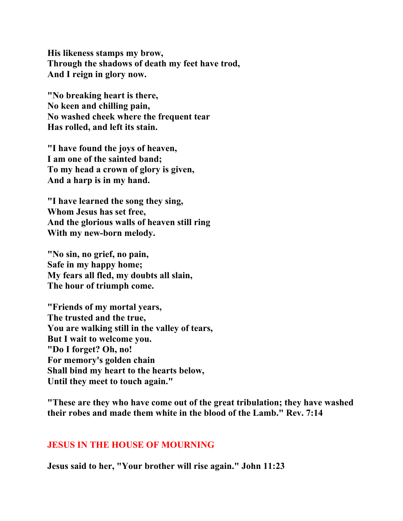**His likeness stamps my brow, Through the shadows of death my feet have trod, And I reign in glory now.** 

**"No breaking heart is there, No keen and chilling pain, No washed cheek where the frequent tear Has rolled, and left its stain.** 

**"I have found the joys of heaven, I am one of the sainted band; To my head a crown of glory is given, And a harp is in my hand.** 

**"I have learned the song they sing, Whom Jesus has set free, And the glorious walls of heaven still ring With my new-born melody.** 

**"No sin, no grief, no pain, Safe in my happy home; My fears all fled, my doubts all slain, The hour of triumph come.** 

**"Friends of my mortal years, The trusted and the true, You are walking still in the valley of tears, But I wait to welcome you. "Do I forget? Oh, no! For memory's golden chain Shall bind my heart to the hearts below, Until they meet to touch again."** 

**"These are they who have come out of the great tribulation; they have washed their robes and made them white in the blood of the Lamb." Rev. 7:14** 

#### **JESUS IN THE HOUSE OF MOURNING**

**Jesus said to her, "Your brother will rise again." John 11:23**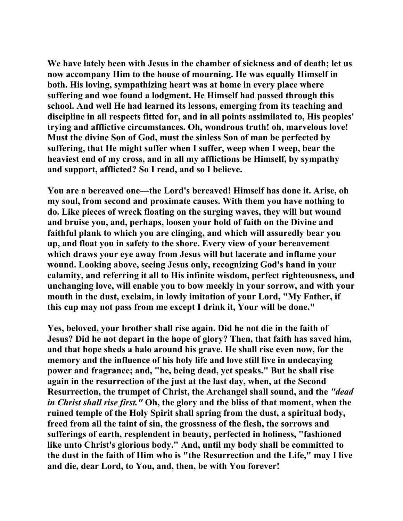**We have lately been with Jesus in the chamber of sickness and of death; let us now accompany Him to the house of mourning. He was equally Himself in both. His loving, sympathizing heart was at home in every place where suffering and woe found a lodgment. He Himself had passed through this school. And well He had learned its lessons, emerging from its teaching and discipline in all respects fitted for, and in all points assimilated to, His peoples' trying and afflictive circumstances. Oh, wondrous truth! oh, marvelous love! Must the divine Son of God, must the sinless Son of man be perfected by suffering, that He might suffer when I suffer, weep when I weep, bear the heaviest end of my cross, and in all my afflictions be Himself, by sympathy and support, afflicted? So I read, and so I believe.** 

**You are a bereaved one—the Lord's bereaved! Himself has done it. Arise, oh my soul, from second and proximate causes. With them you have nothing to do. Like pieces of wreck floating on the surging waves, they will but wound and bruise you, and, perhaps, loosen your hold of faith on the Divine and faithful plank to which you are clinging, and which will assuredly bear you up, and float you in safety to the shore. Every view of your bereavement which draws your eye away from Jesus will but lacerate and inflame your wound. Looking above, seeing Jesus only, recognizing God's hand in your calamity, and referring it all to His infinite wisdom, perfect righteousness, and unchanging love, will enable you to bow meekly in your sorrow, and with your mouth in the dust, exclaim, in lowly imitation of your Lord, "My Father, if this cup may not pass from me except I drink it, Your will be done."** 

**Yes, beloved, your brother shall rise again. Did he not die in the faith of Jesus? Did he not depart in the hope of glory? Then, that faith has saved him, and that hope sheds a halo around his grave. He shall rise even now, for the memory and the influence of his holy life and love still live in undecaying power and fragrance; and, "he, being dead, yet speaks." But he shall rise again in the resurrection of the just at the last day, when, at the Second Resurrection, the trumpet of Christ, the Archangel shall sound, and the** *"dead in Christ shall rise first."* **Oh, the glory and the bliss of that moment, when the ruined temple of the Holy Spirit shall spring from the dust, a spiritual body, freed from all the taint of sin, the grossness of the flesh, the sorrows and sufferings of earth, resplendent in beauty, perfected in holiness, "fashioned like unto Christ's glorious body." And, until my body shall be committed to the dust in the faith of Him who is "the Resurrection and the Life," may I live and die, dear Lord, to You, and, then, be with You forever!**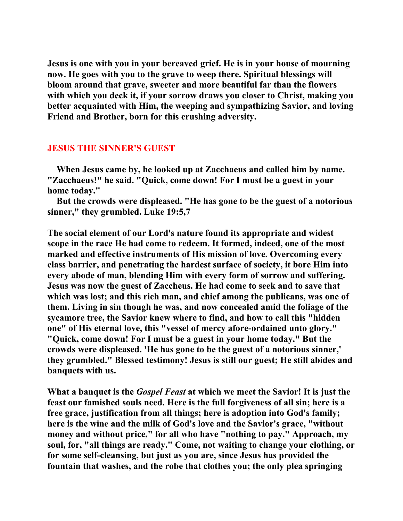**Jesus is one with you in your bereaved grief. He is in your house of mourning now. He goes with you to the grave to weep there. Spiritual blessings will bloom around that grave, sweeter and more beautiful far than the flowers with which you deck it, if your sorrow draws you closer to Christ, making you better acquainted with Him, the weeping and sympathizing Savior, and loving Friend and Brother, born for this crushing adversity.** 

#### **JESUS THE SINNER'S GUEST**

 **When Jesus came by, he looked up at Zacchaeus and called him by name. "Zacchaeus!" he said. "Quick, come down! For I must be a guest in your home today."** 

 **But the crowds were displeased. "He has gone to be the guest of a notorious sinner," they grumbled. Luke 19:5,7** 

**The social element of our Lord's nature found its appropriate and widest scope in the race He had come to redeem. It formed, indeed, one of the most marked and effective instruments of His mission of love. Overcoming every class barrier, and penetrating the hardest surface of society, it bore Him into every abode of man, blending Him with every form of sorrow and suffering. Jesus was now the guest of Zaccheus. He had come to seek and to save that which was lost; and this rich man, and chief among the publicans, was one of them. Living in sin though he was, and now concealed amid the foliage of the sycamore tree, the Savior knew where to find, and how to call this "hidden one" of His eternal love, this "vessel of mercy afore-ordained unto glory." "Quick, come down! For I must be a guest in your home today." But the crowds were displeased. 'He has gone to be the guest of a notorious sinner,' they grumbled." Blessed testimony! Jesus is still our guest; He still abides and banquets with us.** 

**What a banquet is the** *Gospel Feast* **at which we meet the Savior! It is just the feast our famished souls need. Here is the full forgiveness of all sin; here is a free grace, justification from all things; here is adoption into God's family; here is the wine and the milk of God's love and the Savior's grace, "without money and without price," for all who have "nothing to pay." Approach, my soul, for, "all things are ready." Come, not waiting to change your clothing, or for some self-cleansing, but just as you are, since Jesus has provided the fountain that washes, and the robe that clothes you; the only plea springing**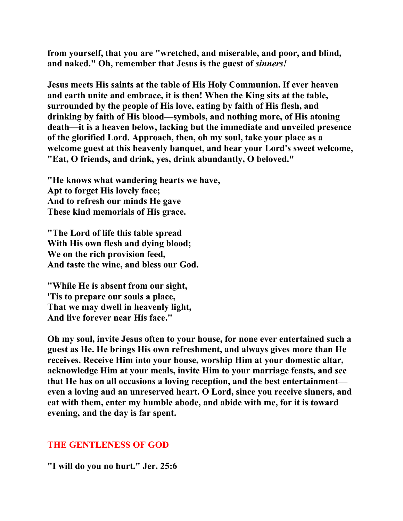**from yourself, that you are "wretched, and miserable, and poor, and blind, and naked." Oh, remember that Jesus is the guest of** *sinners!*

**Jesus meets His saints at the table of His Holy Communion. If ever heaven and earth unite and embrace, it is then! When the King sits at the table, surrounded by the people of His love, eating by faith of His flesh, and drinking by faith of His blood—symbols, and nothing more, of His atoning death—it is a heaven below, lacking but the immediate and unveiled presence of the glorified Lord. Approach, then, oh my soul, take your place as a welcome guest at this heavenly banquet, and hear your Lord's sweet welcome, "Eat, O friends, and drink, yes, drink abundantly, O beloved."** 

**"He knows what wandering hearts we have, Apt to forget His lovely face; And to refresh our minds He gave These kind memorials of His grace.** 

**"The Lord of life this table spread With His own flesh and dying blood; We on the rich provision feed, And taste the wine, and bless our God.** 

**"While He is absent from our sight, 'Tis to prepare our souls a place, That we may dwell in heavenly light, And live forever near His face."** 

**Oh my soul, invite Jesus often to your house, for none ever entertained such a guest as He. He brings His own refreshment, and always gives more than He receives. Receive Him into your house, worship Him at your domestic altar, acknowledge Him at your meals, invite Him to your marriage feasts, and see that He has on all occasions a loving reception, and the best entertainment even a loving and an unreserved heart. O Lord, since you receive sinners, and eat with them, enter my humble abode, and abide with me, for it is toward evening, and the day is far spent.** 

#### **THE GENTLENESS OF GOD**

**"I will do you no hurt." Jer. 25:6**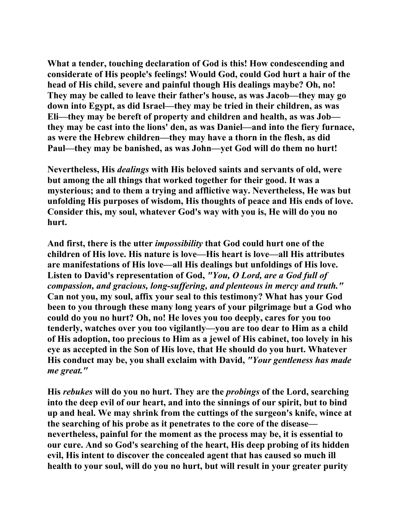**What a tender, touching declaration of God is this! How condescending and considerate of His people's feelings! Would God, could God hurt a hair of the head of His child, severe and painful though His dealings maybe? Oh, no! They may be called to leave their father's house, as was Jacob—they may go down into Egypt, as did Israel—they may be tried in their children, as was Eli—they may be bereft of property and children and health, as was Job they may be cast into the lions' den, as was Daniel—and into the fiery furnace, as were the Hebrew children—they may have a thorn in the flesh, as did Paul—they may be banished, as was John—yet God will do them no hurt!** 

**Nevertheless, His** *dealings* **with His beloved saints and servants of old, were but among the all things that worked together for their good. It was a mysterious; and to them a trying and afflictive way. Nevertheless, He was but unfolding His purposes of wisdom, His thoughts of peace and His ends of love. Consider this, my soul, whatever God's way with you is, He will do you no hurt.** 

**And first, there is the utter** *impossibility* **that God could hurt one of the children of His love. His nature is love—His heart is love—all His attributes are manifestations of His love—all His dealings but unfoldings of His love. Listen to David's representation of God,** *"You, O Lord, are a God full of compassion, and gracious, long-suffering, and plenteous in mercy and truth."* **Can not you, my soul, affix your seal to this testimony? What has your God been to you through these many long years of your pilgrimage but a God who could do you no hurt? Oh, no! He loves you too deeply, cares for you too tenderly, watches over you too vigilantly—you are too dear to Him as a child of His adoption, too precious to Him as a jewel of His cabinet, too lovely in his eye as accepted in the Son of His love, that He should do you hurt. Whatever His conduct may be, you shall exclaim with David,** *"Your gentleness has made me great."*

**His** *rebukes* **will do you no hurt. They are the** *probings* **of the Lord, searching into the deep evil of our heart, and into the sinnings of our spirit, but to bind up and heal. We may shrink from the cuttings of the surgeon's knife, wince at the searching of his probe as it penetrates to the core of the disease nevertheless, painful for the moment as the process may be, it is essential to our cure. And so God's searching of the heart, His deep probing of its hidden evil, His intent to discover the concealed agent that has caused so much ill health to your soul, will do you no hurt, but will result in your greater purity**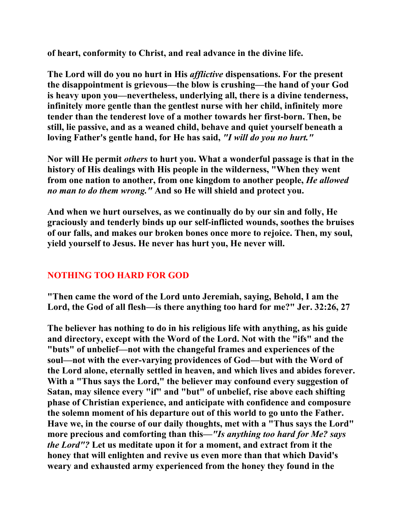**of heart, conformity to Christ, and real advance in the divine life.** 

**The Lord will do you no hurt in His** *afflictive* **dispensations. For the present the disappointment is grievous—the blow is crushing—the hand of your God is heavy upon you—nevertheless, underlying all, there is a divine tenderness, infinitely more gentle than the gentlest nurse with her child, infinitely more tender than the tenderest love of a mother towards her first-born. Then, be still, lie passive, and as a weaned child, behave and quiet yourself beneath a loving Father's gentle hand, for He has said,** *"I will do you no hurt."*

**Nor will He permit** *others* **to hurt you. What a wonderful passage is that in the history of His dealings with His people in the wilderness, "When they went from one nation to another, from one kingdom to another people,** *He allowed no man to do them wrong."* **And so He will shield and protect you.** 

**And when we hurt ourselves, as we continually do by our sin and folly, He graciously and tenderly binds up our self-inflicted wounds, soothes the bruises of our falls, and makes our broken bones once more to rejoice. Then, my soul, yield yourself to Jesus. He never has hurt you, He never will.** 

# **NOTHING TOO HARD FOR GOD**

**"Then came the word of the Lord unto Jeremiah, saying, Behold, I am the Lord, the God of all flesh—is there anything too hard for me?" Jer. 32:26, 27** 

**The believer has nothing to do in his religious life with anything, as his guide and directory, except with the Word of the Lord. Not with the "ifs" and the "buts" of unbelief—not with the changeful frames and experiences of the soul—not with the ever-varying providences of God—but with the Word of the Lord alone, eternally settled in heaven, and which lives and abides forever. With a "Thus says the Lord," the believer may confound every suggestion of Satan, may silence every "if" and "but" of unbelief, rise above each shifting phase of Christian experience, and anticipate with confidence and composure the solemn moment of his departure out of this world to go unto the Father. Have we, in the course of our daily thoughts, met with a "Thus says the Lord" more precious and comforting than this—***"Is anything too hard for Me? says the Lord"?* **Let us meditate upon it for a moment, and extract from it the honey that will enlighten and revive us even more than that which David's weary and exhausted army experienced from the honey they found in the**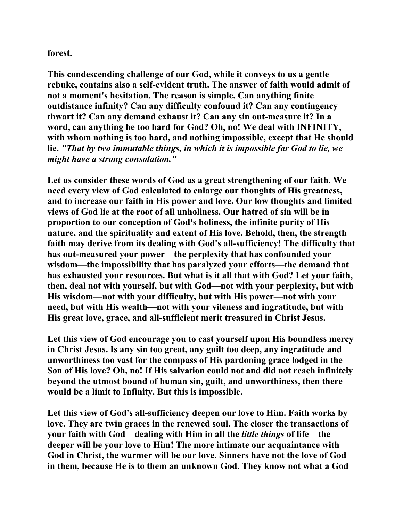#### **forest.**

**This condescending challenge of our God, while it conveys to us a gentle rebuke, contains also a self-evident truth. The answer of faith would admit of not a moment's hesitation. The reason is simple. Can anything finite outdistance infinity? Can any difficulty confound it? Can any contingency thwart it? Can any demand exhaust it? Can any sin out-measure it? In a word, can anything be too hard for God? Oh, no! We deal with INFINITY, with whom nothing is too hard, and nothing impossible, except that He should lie.** *"That by two immutable things, in which it is impossible far God to lie, we might have a strong consolation."*

**Let us consider these words of God as a great strengthening of our faith. We need every view of God calculated to enlarge our thoughts of His greatness, and to increase our faith in His power and love. Our low thoughts and limited views of God lie at the root of all unholiness. Our hatred of sin will be in proportion to our conception of God's holiness, the infinite purity of His nature, and the spirituality and extent of His love. Behold, then, the strength faith may derive from its dealing with God's all-sufficiency! The difficulty that has out-measured your power—the perplexity that has confounded your wisdom—the impossibility that has paralyzed your efforts—the demand that has exhausted your resources. But what is it all that with God? Let your faith, then, deal not with yourself, but with God—not with your perplexity, but with His wisdom—not with your difficulty, but with His power—not with your need, but with His wealth—not with your vileness and ingratitude, but with His great love, grace, and all-sufficient merit treasured in Christ Jesus.** 

**Let this view of God encourage you to cast yourself upon His boundless mercy in Christ Jesus. Is any sin too great, any guilt too deep, any ingratitude and unworthiness too vast for the compass of His pardoning grace lodged in the Son of His love? Oh, no! If His salvation could not and did not reach infinitely beyond the utmost bound of human sin, guilt, and unworthiness, then there would be a limit to Infinity. But this is impossible.** 

**Let this view of God's all-sufficiency deepen our love to Him. Faith works by love. They are twin graces in the renewed soul. The closer the transactions of your faith with God—dealing with Him in all the** *little things* **of life—the deeper will be your love to Him! The more intimate our acquaintance with God in Christ, the warmer will be our love. Sinners have not the love of God in them, because He is to them an unknown God. They know not what a God**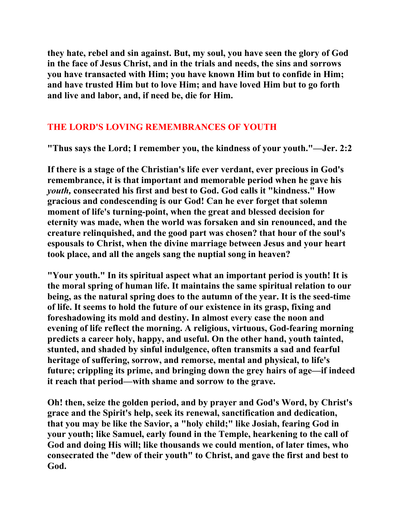**they hate, rebel and sin against. But, my soul, you have seen the glory of God in the face of Jesus Christ, and in the trials and needs, the sins and sorrows you have transacted with Him; you have known Him but to confide in Him; and have trusted Him but to love Him; and have loved Him but to go forth and live and labor, and, if need be, die for Him.** 

# **THE LORD'S LOVING REMEMBRANCES OF YOUTH**

**"Thus says the Lord; I remember you, the kindness of your youth."—Jer. 2:2** 

**If there is a stage of the Christian's life ever verdant, ever precious in God's remembrance, it is that important and memorable period when he gave his**  *youth,* **consecrated his first and best to God. God calls it "kindness." How gracious and condescending is our God! Can he ever forget that solemn moment of life's turning-point, when the great and blessed decision for eternity was made, when the world was forsaken and sin renounced, and the creature relinquished, and the good part was chosen? that hour of the soul's espousals to Christ, when the divine marriage between Jesus and your heart took place, and all the angels sang the nuptial song in heaven?** 

**"Your youth." In its spiritual aspect what an important period is youth! It is the moral spring of human life. It maintains the same spiritual relation to our being, as the natural spring does to the autumn of the year. It is the seed-time of life. It seems to hold the future of our existence in its grasp, fixing and foreshadowing its mold and destiny. In almost every case the noon and evening of life reflect the morning. A religious, virtuous, God-fearing morning predicts a career holy, happy, and useful. On the other hand, youth tainted, stunted, and shaded by sinful indulgence, often transmits a sad and fearful heritage of suffering, sorrow, and remorse, mental and physical, to life's future; crippling its prime, and bringing down the grey hairs of age—if indeed it reach that period—with shame and sorrow to the grave.** 

**Oh! then, seize the golden period, and by prayer and God's Word, by Christ's grace and the Spirit's help, seek its renewal, sanctification and dedication, that you may be like the Savior, a "holy child;" like Josiah, fearing God in your youth; like Samuel, early found in the Temple, hearkening to the call of God and doing His will; like thousands we could mention, of later times, who consecrated the "dew of their youth" to Christ, and gave the first and best to God.**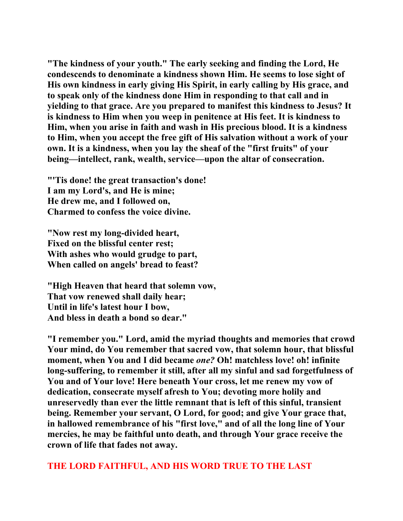**"The kindness of your youth." The early seeking and finding the Lord, He condescends to denominate a kindness shown Him. He seems to lose sight of His own kindness in early giving His Spirit, in early calling by His grace, and to speak only of the kindness done Him in responding to that call and in yielding to that grace. Are you prepared to manifest this kindness to Jesus? It is kindness to Him when you weep in penitence at His feet. It is kindness to Him, when you arise in faith and wash in His precious blood. It is a kindness to Him, when you accept the free gift of His salvation without a work of your own. It is a kindness, when you lay the sheaf of the "first fruits" of your being—intellect, rank, wealth, service—upon the altar of consecration.** 

**"'Tis done! the great transaction's done! I am my Lord's, and He is mine; He drew me, and I followed on, Charmed to confess the voice divine.** 

**"Now rest my long-divided heart, Fixed on the blissful center rest; With ashes who would grudge to part, When called on angels' bread to feast?** 

**"High Heaven that heard that solemn vow, That vow renewed shall daily hear; Until in life's latest hour I bow, And bless in death a bond so dear."** 

**"I remember you." Lord, amid the myriad thoughts and memories that crowd Your mind, do You remember that sacred vow, that solemn hour, that blissful moment, when You and I did became** *one?* **Oh! matchless love! oh! infinite long-suffering, to remember it still, after all my sinful and sad forgetfulness of You and of Your love! Here beneath Your cross, let me renew my vow of dedication, consecrate myself afresh to You; devoting more holily and unreservedly than ever the little remnant that is left of this sinful, transient being. Remember your servant, O Lord, for good; and give Your grace that, in hallowed remembrance of his "first love," and of all the long line of Your mercies, he may be faithful unto death, and through Your grace receive the crown of life that fades not away.** 

**THE LORD FAITHFUL, AND HIS WORD TRUE TO THE LAST**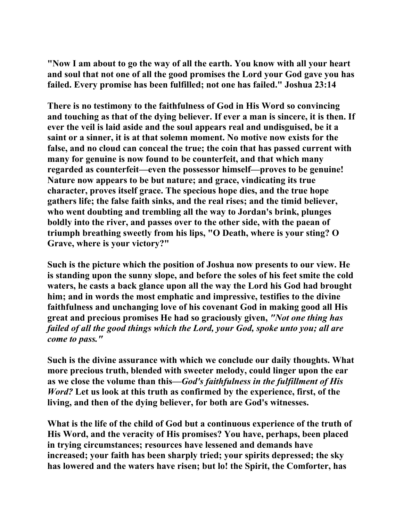**"Now I am about to go the way of all the earth. You know with all your heart and soul that not one of all the good promises the Lord your God gave you has failed. Every promise has been fulfilled; not one has failed." Joshua 23:14** 

**There is no testimony to the faithfulness of God in His Word so convincing and touching as that of the dying believer. If ever a man is sincere, it is then. If ever the veil is laid aside and the soul appears real and undisguised, be it a saint or a sinner, it is at that solemn moment. No motive now exists for the false, and no cloud can conceal the true; the coin that has passed current with many for genuine is now found to be counterfeit, and that which many regarded as counterfeit—even the possessor himself—proves to be genuine! Nature now appears to be but nature; and grace, vindicating its true character, proves itself grace. The specious hope dies, and the true hope gathers life; the false faith sinks, and the real rises; and the timid believer, who went doubting and trembling all the way to Jordan's brink, plunges boldly into the river, and passes over to the other side, with the paean of triumph breathing sweetly from his lips, "O Death, where is your sting? O Grave, where is your victory?"** 

**Such is the picture which the position of Joshua now presents to our view. He is standing upon the sunny slope, and before the soles of his feet smite the cold waters, he casts a back glance upon all the way the Lord his God had brought him; and in words the most emphatic and impressive, testifies to the divine faithfulness and unchanging love of his covenant God in making good all His great and precious promises He had so graciously given,** *"Not one thing has failed of all the good things which the Lord, your God, spoke unto you; all are come to pass."* 

**Such is the divine assurance with which we conclude our daily thoughts. What more precious truth, blended with sweeter melody, could linger upon the ear as we close the volume than this—***God's faithfulness in the fulfillment of His Word?* **Let us look at this truth as confirmed by the experience, first, of the living, and then of the dying believer, for both are God's witnesses.** 

**What is the life of the child of God but a continuous experience of the truth of His Word, and the veracity of His promises? You have, perhaps, been placed in trying circumstances; resources have lessened and demands have increased; your faith has been sharply tried; your spirits depressed; the sky has lowered and the waters have risen; but lo! the Spirit, the Comforter, has**